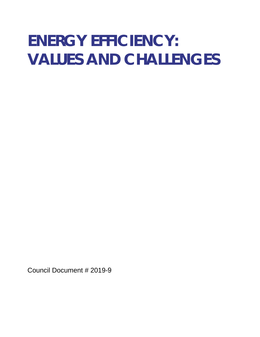# **ENERGY EFFICIENCY: VALUES AND CHALLENGES**

Council Document # 2019-9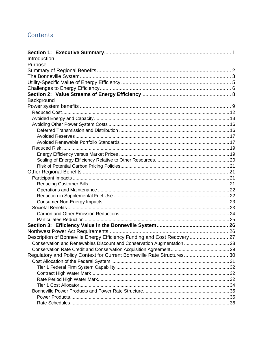### Contents

| Introduction                                                              |  |
|---------------------------------------------------------------------------|--|
| Purpose                                                                   |  |
|                                                                           |  |
|                                                                           |  |
|                                                                           |  |
|                                                                           |  |
|                                                                           |  |
| Background                                                                |  |
|                                                                           |  |
|                                                                           |  |
|                                                                           |  |
|                                                                           |  |
|                                                                           |  |
|                                                                           |  |
|                                                                           |  |
|                                                                           |  |
|                                                                           |  |
|                                                                           |  |
|                                                                           |  |
|                                                                           |  |
|                                                                           |  |
|                                                                           |  |
|                                                                           |  |
|                                                                           |  |
|                                                                           |  |
|                                                                           |  |
|                                                                           |  |
|                                                                           |  |
|                                                                           |  |
|                                                                           |  |
| Description of Bonneville Energy Efficiency Funding and Cost Recovery  27 |  |
| Conservation and Renewables Discount and Conservation Augmentation  28    |  |
|                                                                           |  |
| Regulatory and Policy Context for Current Bonneville Rate Structures 30   |  |
|                                                                           |  |
|                                                                           |  |
|                                                                           |  |
|                                                                           |  |
|                                                                           |  |
|                                                                           |  |
|                                                                           |  |
|                                                                           |  |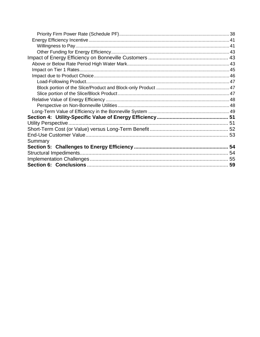| Utility Perspective. |  |
|----------------------|--|
|                      |  |
|                      |  |
| Summary              |  |
|                      |  |
|                      |  |
|                      |  |
|                      |  |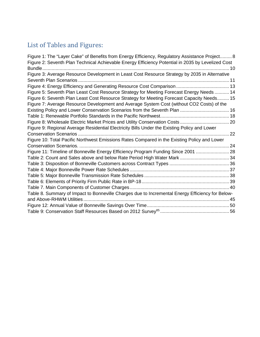### List of Tables and Figures:

| Figure 1: The "Layer Cake" of Benefits from Energy Efficiency, Regulatory Assistance Project 8    |    |
|---------------------------------------------------------------------------------------------------|----|
| Figure 2: Seventh Plan Technical Achievable Energy Efficiency Potential in 2035 by Levelized Cost |    |
| Bundle                                                                                            |    |
| Figure 3: Average Resource Development in Least Cost Resource Strategy by 2035 in Alternative     |    |
|                                                                                                   |    |
|                                                                                                   |    |
| Figure 5: Seventh Plan Least Cost Resource Strategy for Meeting Forecast Energy Needs  14         |    |
| Figure 6: Seventh Plan Least Cost Resource Strategy for Meeting Forecast Capacity Needs 15        |    |
| Figure 7: Average Resource Development and Average System Cost (without CO2 Costs) of the         |    |
|                                                                                                   |    |
|                                                                                                   |    |
|                                                                                                   |    |
| Figure 9: Regional Average Residential Electricity Bills Under the Existing Policy and Lower      |    |
|                                                                                                   | 22 |
| Figure 10: Total Pacific Northwest Emissions Rates Compared in the Existing Policy and Lower      |    |
|                                                                                                   | 24 |
| Figure 11: Timeline of Bonneville Energy Efficiency Program Funding Since 2001  28                |    |
|                                                                                                   |    |
|                                                                                                   |    |
|                                                                                                   |    |
|                                                                                                   |    |
|                                                                                                   |    |
|                                                                                                   |    |
| Table 8. Summary of Impact to Bonneville Charges due to Incremental Energy Efficiency for Below-  |    |
|                                                                                                   | 45 |
|                                                                                                   |    |
|                                                                                                   |    |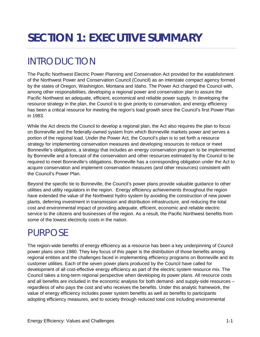## <span id="page-4-0"></span>**SECTION 1: EXECUTIVE SUMMARY**

## <span id="page-4-1"></span>INTRODUCTION

The Pacific Northwest Electric Power Planning and Conservation Act provided for the establishment of the Northwest Power and Conservation Council (Council) as an interstate compact agency formed by the states of Oregon, Washington, Montana and Idaho. The Power Act charged the Council with, among other responsibilities, developing a regional power and conservation plan to assure the Pacific Northwest an adequate, efficient, economical and reliable power supply. In developing the resource strategy in the plan, the Council is to give priority to conservation, and energy efficiency has been a critical resource for meeting the region's load growth since the Council's first Power Plan in 1983.

While the Act directs the Council to develop a regional plan, the Act also requires the plan to focus on Bonneville and the federally-owned system from which Bonneville markets power and serves a portion of the regional load. Under the Power Act, the Council's plan is to set forth a resource strategy for implementing conservation measures and developing resources to reduce or meet Bonneville's obligations, a strategy that includes an energy conservation program to be implemented by Bonneville and a forecast of the conservation and other resources estimated by the Council to be required to meet Bonneville's obligations. Bonneville has a corresponding obligation under the Act to acquire conservation and implement conservation measures (and other resources) consistent with the Council's Power Plan.

Beyond the specific tie to Bonneville, the Council's power plans provide valuable guidance to other utilities and utility regulators in the region. Energy efficiency achievements throughout the region have extended the value of the Northwest hydro system by avoiding the construction of new power plants, deferring investment in transmission and distribution infrastructure, and reducing the total cost and environmental impact of providing adequate, efficient, economic and reliable electric service to the citizens and businesses of the region. As a result, the Pacific Northwest benefits from some of the lowest electricity costs in the nation.

## <span id="page-4-2"></span>PURPOSE

The region-wide benefits of energy efficiency as a resource has been a key underpinning of Council power plans since 1980. They key focus of this paper is the distribution of those benefits among regional entities and the challenges faced in implementing efficiency programs on Bonneville and its customer utilities. Each of the seven power plans produced by the Council have called for development of all cost-effective energy efficiency as part of the electric system resource mix. The Council takes a long-term regional perspective when developing its power plans. All resource costs and all benefits are included in the economic analysis for both demand- and supply-side resources – regardless of who pays the cost and who receives the benefits. Under this analytic framework, the value of energy efficiency includes power system benefits as well as benefits to participants adopting efficiency measures, and to society through reduced total cost including environmental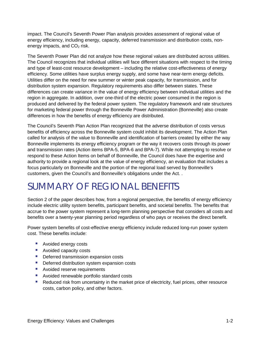impact. The Council's Seventh Power Plan analysis provides assessment of regional value of energy efficiency, including energy, capacity, deferred transmission and distribution costs, nonenergy impacts, and  $CO<sub>2</sub>$  risk.

The Seventh Power Plan did not analyze how these regional values are distributed across utilities. The Council recognizes that individual utilities will face different situations with respect to the timing and type of least-cost resource development – including the relative cost-effectiveness of energy efficiency. Some utilities have surplus energy supply, and some have near-term energy deficits. Utilities differ on the need for new summer or winter peak capacity, for transmission, and for distribution system expansion. Regulatory requirements also differ between states. These differences can create variance in the value of energy efficiency between individual utilities and the region in aggregate. In addition, over one-third of the electric power consumed in the region is produced and delivered by the federal power system. The regulatory framework and rate structures for marketing federal power through the Bonneville Power Administration (Bonneville) also create differences in how the benefits of energy efficiency are distributed.

The Council's Seventh Plan Action Plan recognized that the adverse distribution of costs versus benefits of efficiency across the Bonneville system could inhibit its development. The Action Plan called for analysis of the value to Bonneville and identification of barriers created by either the way Bonneville implements its energy efficiency program or the way it recovers costs through its power and transmission rates (Action items BPA-5, BPA-6 and BPA-7). While not attempting to resolve or respond to these Action Items on behalf of Bonneville, the Council does have the expertise and authority to provide a regional look at the value of energy efficiency, an evaluation that includes a focus particularly on Bonneville and the portion of the regional load served by Bonneville's customers, given the Council's and Bonneville's obligations under the Act. .

## <span id="page-5-0"></span>SUMMARY OF REGIONAL BENEFITS

Section 2 of the paper describes how, from a regional perspective, the benefits of energy efficiency include electric utility system benefits, participant benefits, and societal benefits. The benefits that accrue to the power system represent a long-term planning perspective that considers all costs and benefits over a twenty-year planning period regardless of who pays or receives the direct benefit.

Power system benefits of cost-effective energy efficiency include reduced long-run power system cost. These benefits include:

- **Avoided energy costs**
- **Avoided capacity costs**
- **Deferred transmission expansion costs**
- **Deferred distribution system expansion costs**
- **Avoided reserve requirements**
- **Avoided renewable portfolio standard costs**
- **Reduced risk from uncertainty in the market price of electricity, fuel prices, other resource** costs, carbon policy, and other factors.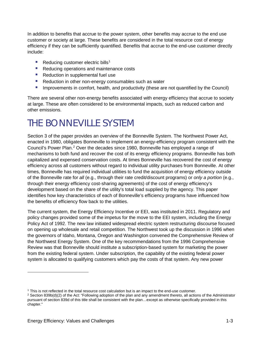In addition to benefits that accrue to the power system, other benefits may accrue to the end use customer or society at large. These benefits are considered in the total resource cost of energy efficiency if they can be sufficiently quantified. Benefits that accrue to the end-use customer directly include:

- Reducing customer electric bills<sup>[1](#page-6-1)</sup>
- Reducing operations and maintenance costs
- Reduction in supplemental fuel use
- Reduction in other non-energy consumables such as water
- **IMPROM** Improvements in comfort, health, and productivity (these are not quantified by the Council)

There are several other non-energy benefits associated with energy efficiency that accrue to society at large. These are often considered to be environmental impacts, such as reduced carbon and other emissions.

## <span id="page-6-0"></span>THE BONNEVILLE SYSTEM

Section 3 of the paper provides an overview of the Bonneville System. The Northwest Power Act, enacted in 1980, obligates Bonneville to implement an energy-efficiency program consistent with the Council's Power Plan.<sup>[2](#page-6-2)</sup> Over the decades since 1980, Bonneville has employed a range of mechanisms to both fund and recover the cost of its energy efficiency programs. Bonneville has both capitalized and expensed conservation costs. At times Bonneville has recovered the cost of energy efficiency across all customers without regard to individual utility purchases from Bonneville. At other times, Bonneville has required individual utilities to fund the acquisition of energy efficiency outside of the Bonneville rate for *all* (e.g., through their rate credit/discount programs) or *only a portion* (e.g., through their energy efficiency cost-sharing agreements) of the cost of energy efficiency's development based on the share of the utility's total load supplied by the agency. This paper identifies how key characteristics of each of Bonneville's efficiency programs have influenced how the benefits of efficiency flow back to the utilities.

The current system, the Energy Efficiency Incentive or EEI, was instituted in 2011. Regulatory and policy changes provided some of the impetus for the move to the EEI system, including the Energy Policy Act of 1992. The new law initiated widespread electric system restructuring discourse focused on opening up wholesale and retail competition. The Northwest took up the discussion in 1996 when the governors of Idaho, Montana, Oregon and Washington convened the Comprehensive Review of the Northwest Energy System. One of the key recommendations from the 1996 Comprehensive Review was that Bonneville should institute a subscription-based system for marketing the power from the existing federal system. Under subscription, the capability of the existing federal power system is allocated to qualifying customers which pay the costs of that system. Any new power

<span id="page-6-1"></span><sup>1</sup> This is not reflected in the total resource cost calculation but is an impact to the end-use customer.

<span id="page-6-2"></span> $2$  Section 839b(d)(2) of the Act: "Following adoption of the plan and any amendment thereto, all actions of the Administrator pursuant of section 839d of this title shall be consistent with the plan…except as otherwise specifically provided in this chapter."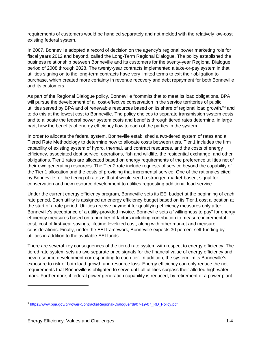requirements of customers would be handled separately and not melded with the relatively low-cost existing federal system.

In 2007, Bonneville adopted a record of decision on the agency's regional power marketing role for fiscal years 2012 and beyond, called the Long-Term Regional Dialogue. The policy established the business relationship between Bonneville and its customers for the twenty-year Regional Dialogue period of 2008 through 2028. The twenty-year contracts implemented a take-or-pay system in that utilities signing on to the long-term contracts have very limited terms to exit their obligation to purchase, which created more certainty in revenue recovery and debt repayment for both Bonneville and its customers.

As part of the Regional Dialogue policy, Bonneville "commits that to meet its load obligations, BPA will pursue the development of all cost-effective conservation in the service territories of public utilities served by BPA and of renewable resources based on its share of regional load growth."[3](#page-7-0) and to do this at the lowest cost to Bonneville. The policy choices to separate transmission system costs and to allocate the federal power system costs and benefits through tiered rates determine, in large part, how the benefits of energy efficiency flow to each of the parties in the system.

In order to allocate the federal system, Bonneville established a two-tiered system of rates and a Tiered Rate Methodology to determine how to allocate costs between tiers. Tier 1 includes the firm capability of existing system of hydro, thermal, and contract resources, and the costs of energy efficiency, associated debt service, operations, fish and wildlife, the residential exchange, and other obligations. Tier 1 rates are allocated based on energy requirements of the preference utilities net of their own generating resources. The Tier 2 rate include requests of service beyond the capability of the Tier 1 allocation and the costs of providing that incremental service. One of the rationales cited by Bonneville for the tiering of rates is that it would send a stronger, market-based, signal for conservation and new resource development to utilities requesting additional load service.

Under the current energy efficiency program, Bonneville sets its EEI budget at the beginning of each rate period. Each utility is assigned an energy efficiency budget based on its Tier 1 cost allocation at the start of a rate period. Utilities receive payment for qualifying efficiency measures only after Bonneville's acceptance of a utility-provided invoice. Bonneville sets a "willingness to pay" for energy efficiency measures based on a number of factors including contribution to measure incremental cost, cost of first-year savings, lifetime levelized cost, along with other market and measure considerations. Finally, under the EEI framework, Bonneville expects 30 percent self-funding by utilities in addition to the available EEI funds.

There are several key consequences of the tiered rate system with respect to energy efficiency. The tiered rate system sets up two separate price signals for the financial value of energy efficiency and new resource development corresponding to each tier. In addition, the system limits Bonneville's exposure to risk of both load growth and resource loss. Energy efficiency can only reduce the net requirements that Bonneville is obligated to serve until all utilities surpass their allotted high-water mark. Furthermore, if federal power generation capability is reduced, by retirement of a power plant

<span id="page-7-0"></span><sup>3</sup> [https://www.bpa.gov/p/Power-Contracts/Regional-Dialogue/rdi/07-19-07\\_RD\\_Policy.pdf](https://www.bpa.gov/p/Power-Contracts/Regional-Dialogue/rdi/07-19-07_RD_Policy.pdf)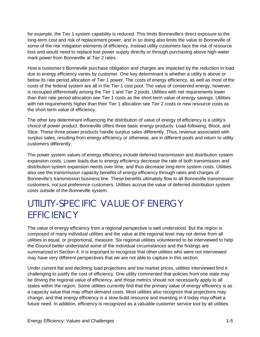for example, the Tier 1 system capability is reduced. This limits Bonneville's direct exposure to the long-term cost and risk of replacement power, and in so doing also limits the value to Bonneville of some of the risk mitigation elements of efficiency. Instead utility customers face the risk of resource loss and would need to replace lost power supply directly or through purchasing above high-water mark power from Bonneville at Tier 2 rates.

How a customer's Bonneville purchase obligation and charges are impacted by the reduction in load due to energy efficiency varies by customer. One key determinant is whether a utility is above or below its rate period allocation of Tier 1 power. The costs of energy efficiency, as well as most of the costs of the federal system are all in the Tier 1 cost pool. The value of conserved energy, however, is recouped differentially among the Tier 1 and Tier 2 pools. Utilities with net requirements lower than their rate period allocation see Tier 1 costs as the short-term value of energy savings. Utilities with net requirements higher than their Tier 1 allocation see Tier 2 costs or new resource costs as the short-term value of efficiency.

The other key determinant influencing the distribution of value of energy of efficiency is a utility's choice of power product. Bonneville offers three basic energy products: Load-following, Block, and Slice. These three power products handle surplus sales differently. Thus, revenue associated with surplus sales, resulting from energy efficiency or otherwise, are in different pools and return to utility customers differently.

The power system values of energy efficiency include deferred transmission and distribution system expansion costs. Lower loads due to energy efficiency decrease the rate of both transmission and distribution system expansion needs over time, and thus decrease long-term system costs. Utilities also see the transmission capacity benefits of energy efficiency through rates and charges of Bonneville's transmission business line. These benefits ultimately flow to all Bonneville transmission customers, not just preference customers. Utilities accrue the value of deferred distribution system costs outside of the Bonneville system.

## <span id="page-8-0"></span>UTILITY-SPECIFIC VALUE OF ENERGY **EFFICIENCY**

The value of energy efficiency from a regional perspective is well understood. But the region is composed of many individual utilities and the value at the regional level may not derive from all utilities in equal, or proportional, measure. Six regional utilities volunteered to be interviewed to help the Council better understand some of the individual circumstances and the findings are summarized in Section 4. It is important to recognize that other utilities who were not interviewed may have very different perspectives that we are not able to capture in this section.

Under current flat and declining load projections and low market prices, utilities interviewed find it challenging to justify the cost of efficiency. One utility commented that policies from one state may be driving the regional value of efficiency, and those metrics should not necessarily apply to all states within the region. Some utilities currently find that the primary value of energy efficiency is as a capacity value that may offset demand costs. Most utilities also recognize that projections may change, and that energy efficiency is a slow-build resource and investing in it today may offset a future need. In addition, efficiency is recognized as a valuable customer service tool by all utilities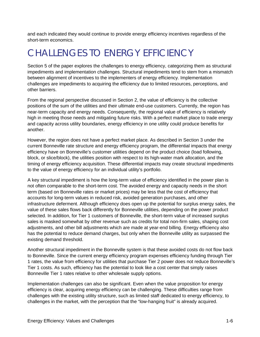and each indicated they would continue to provide energy efficiency incentives regardless of the short-term economics.

## <span id="page-9-0"></span>CHALLENGES TO ENERGY EFFICIENCY

Section 5 of the paper explores the challenges to energy efficiency, categorizing them as structural impediments and implementation challenges. Structural impediments tend to stem from a mismatch between alignment of incentives to the implementers of energy efficiency. Implementation challenges are impediments to acquiring the efficiency due to limited resources, perceptions, and other barriers.

From the regional perspective discussed in Section 2, the value of efficiency is the collective positions of the sum of the utilities and their ultimate end-use customers. Currently, the region has near-term capacity and energy needs. Consequently, the regional value of efficiency is relatively high in meeting those needs and mitigating future risks. With a perfect market place to trade energy and capacity across utility boundaries, energy efficiency in one utility could produce benefits for another.

However, the region does not have a perfect market place. As described in Section 3 under the current Bonneville rate structure and energy efficiency program, the differential impacts that energy efficiency have on Bonneville's customer utilities depend on the product choice (load following, block, or slice/block), the utilities position with respect to its high-water mark allocation, and the timing of energy efficiency acquisition. These differential impacts may create structural impediments to the value of energy efficiency for an individual utility's portfolio.

A key structural impediment is how the long-term value of efficiency identified in the power plan is not often comparable to the short-term cost. The avoided energy and capacity needs in the short term (based on Bonneville rates or market prices) may be less that the cost of efficiency that accounts for long-term values in reduced risk, avoided generation purchases, and other infrastructure deferment. Although efficiency does open up the potential for surplus energy sales, the value of these sales flows back differently for Bonneville utilities, depending on the power product selected. In addition, for Tier 1 customers of Bonneville, the short-term value of increased surplus sales is masked somewhat by other revenue such as credits for total non-firm sales, shaping cost adjustments, and other bill adjustments which are made at year-end billing. Energy efficiency also has the potential to reduce demand charges, but only when the Bonneville utility as surpassed the existing demand threshold.

Another structural impediment in the Bonneville system is that these avoided costs do not flow back to Bonneville. Since the current energy efficiency program expenses efficiency funding through Tier 1 rates, the value from efficiency for utilities that purchase Tier 2 power does not reduce Bonneville's Tier 1 costs. As such, efficiency has the potential to look like a cost center that simply raises Bonneville Tier 1 rates relative to other wholesale supply options.

Implementation challenges can also be significant. Even when the value proposition for energy efficiency is clear, acquiring energy efficiency can be challenging. These difficulties range from challenges with the existing utility structure, such as limited staff dedicated to energy efficiency, to challenges in the market, with the perception that the "low-hanging fruit" is already acquired.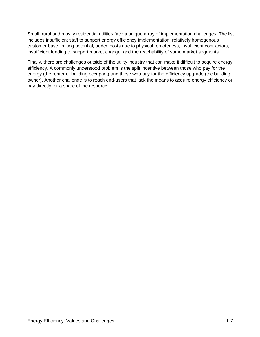Small, rural and mostly residential utilities face a unique array of implementation challenges. The list includes insufficient staff to support energy efficiency implementation, relatively homogenous customer base limiting potential, added costs due to physical remoteness, insufficient contractors, insufficient funding to support market change, and the reachability of some market segments.

Finally, there are challenges outside of the utility industry that can make it difficult to acquire energy efficiency. A commonly understood problem is the split incentive between those who pay for the energy (the renter or building occupant) and those who pay for the efficiency upgrade (the building owner). Another challenge is to reach end-users that lack the means to acquire energy efficiency or pay directly for a share of the resource.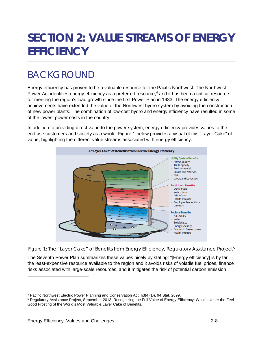## <span id="page-11-0"></span>**SECTION 2: VALUE STREAMS OF ENERGY EFFICIENCY**

## <span id="page-11-1"></span>BACKGROUND

Energy efficiency has proven to be a valuable resource for the Pacific Northwest. The Northwest Power Act identifies energy efficiency as a preferred resource, [4](#page-11-3) and it has been a critical resource for meeting the region's load growth since the first Power Plan in 1983. The energy efficiency achievements have extended the value of the Northwest hydro system by avoiding the construction of new power plants. The combination of low-cost hydro and energy efficiency have resulted in some of the lowest power costs in the country.

In addition to providing direct value to the power system, energy efficiency provides values to the end use customers and society as a whole. [Figure 1](#page-11-2) below provides a visual of this "Layer Cake" of value, highlighting the different value streams associated with energy efficiency.



<span id="page-11-2"></span>Figure 1: The "Layer Cake" of Benefits from Energy Efficiency, Regulatory Assistance Project<sup>[5](#page-11-4)</sup>

The Seventh Power Plan summarizes these values nicely by stating: "[Energy efficiency] is by far the least-expensive resource available to the region and it avoids risks of volatile fuel prices, finance risks associated with large-scale resources, and it mitigates the risk of potential carbon emission

<span id="page-11-3"></span><sup>4</sup> Pacific Northwest Electric Power Planning and Conservation Act, §3(4)(D), 94 Stat. 2699.

<span id="page-11-4"></span><sup>5</sup> Regulatory Assistance Project, September 2013. Recognizing the Full Value of Energy Efficiency: What's Under the Feel-Good Frosting of the World's Most Valuable Layer Cake of Benefits.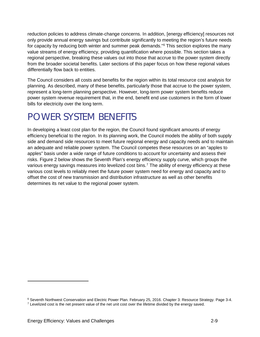reduction policies to address climate-change concerns. In addition, [energy efficiency] resources not only provide annual energy savings but contribute significantly to meeting the region's future needs for capacity by reducing both winter and summer peak demands."<sup>[6](#page-12-1)</sup> This section explores the many value streams of energy efficiency, providing quantification where possible. This section takes a regional perspective, breaking these values out into those that accrue to the power system directly from the broader societal benefits. Later sections of this paper focus on how these regional values differentially flow back to entities.

The Council considers all costs and benefits for the region within its total resource cost analysis for planning. As described, many of these benefits, particularly those that accrue to the power system, represent a long-term planning perspective. However, long-term power system benefits reduce power system revenue requirement that, in the end, benefit end use customers in the form of lower bills for electricity over the long term.

## <span id="page-12-0"></span>POWER SYSTEM BENEFITS

In developing a least cost plan for the region, the Council found significant amounts of energy efficiency beneficial to the region. In its planning work, the Council models the ability of both supply side and demand side resources to meet future regional energy and capacity needs and to maintain an adequate and reliable power system. The Council competes these resources on an "apples to apples" basis under a wide range of future conditions to account for uncertainty and assess their risks. [Figure 2](#page-13-0) below shows the Seventh Plan's energy efficiency supply curve, which groups the various energy savings measures into levelized cost bins.<sup>[7](#page-12-2)</sup> The ability of energy efficiency at these various cost levels to reliably meet the future power system need for energy and capacity and to offset the cost of new transmission and distribution infrastructure as well as other benefits determines its net value to the regional power system.

-

<span id="page-12-2"></span><span id="page-12-1"></span><sup>6</sup> Seventh Northwest Conservation and Electric Power Plan. February 25, 2016. Chapter 3: Resource Strategy. Page 3-4.

 $<sup>7</sup>$  Levelized cost is the net present value of the net unit cost over the lifetime divided by the energy saved.</sup>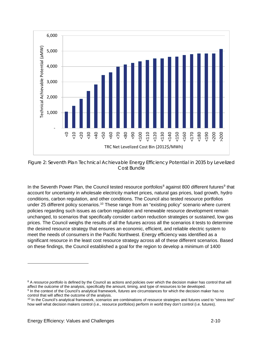

<span id="page-13-0"></span>Figure 2: Seventh Plan Technical Achievable Energy Efficiency Potential in 2035 by Levelized Cost Bundle

In the Seventh Power Plan, the Council tested resource portfolios<sup>[8](#page-13-1)</sup> against 800 different futures<sup>[9](#page-13-2)</sup> that account for uncertainty in wholesale electricity market prices, natural gas prices, load growth, hydro conditions, carbon regulation, and other conditions. The Council also tested resource portfolios under 25 different policy scenarios.<sup>[10](#page-13-3)</sup> These range from an "existing policy" scenario where current policies regarding such issues as carbon regulation and renewable resource development remain unchanged, to scenarios that specifically consider carbon reduction strategies or sustained, low gas prices. The Council weighs the results of all the futures across all the scenarios it tests to determine the desired resource strategy that ensures an economic, efficient, and reliable electric system to meet the needs of consumers in the Pacific Northwest. Energy efficiency was identified as a significant resource in the least cost resource strategy across all of these different scenarios. Based on these findings, the Council established a goal for the region to develop a minimum of 1400

<span id="page-13-1"></span><sup>&</sup>lt;sup>8</sup> A *resource portfolio* is defined by the Council as actions and policies over which the decision maker has control that will affect the outcome of the analysis, specifically the amount, timing, and type of resources to be developed.

<span id="page-13-2"></span><sup>9</sup> In the context of the Council's analytical framework, *futures* are circumstances for which the decision maker has no control that will affect the outcome of the analysis.

<span id="page-13-3"></span><sup>10</sup> In the Council's analytical framework, *scenarios* are combinations of resource strategies and futures used to "stress test" how well what decision makers control (i.e., resource portfolios) perform in world they don't control (i.e. futures).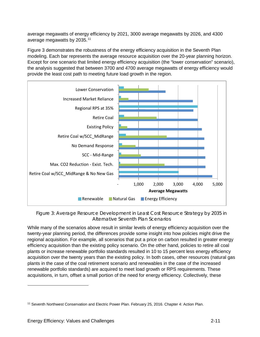average megawatts of energy efficiency by 2021, 3000 average megawatts by 2026, and 4300 average megawatts by 2035.[11](#page-14-1)

[Figure 3](#page-14-0) demonstrates the robustness of the energy efficiency acquisition in the Seventh Plan modeling. Each bar represents the average resource acquisition over the 20-year planning horizon. Except for one scenario that limited energy efficiency acquisition (the "lower conservation" scenario), the analysis suggested that between 3700 and 4700 average megawatts of energy efficiency would provide the least cost path to meeting future load growth in the region.



<span id="page-14-0"></span>Figure 3: Average Resource Development in Least Cost Resource Strategy by 2035 in Alternative Seventh Plan Scenarios

While many of the scenarios above result in similar levels of energy efficiency acquisition over the twenty-year planning period, the differences provide some insight into how policies might drive the regional acquisition. For example, all scenarios that put a price on carbon resulted in greater energy efficiency acquisition than the existing policy scenario. On the other hand, policies to retire all coal plants or increase renewable portfolio standards resulted in 10 to 15 percent less energy efficiency acquisition over the twenty years than the existing policy. In both cases, other resources (natural gas plants in the case of the coal retirement scenario and renewables in the case of the increased renewable portfolio standards) are acquired to meet load growth or RPS requirements. These acquisitions, in turn, offset a small portion of the need for energy efficiency. Collectively, these

<span id="page-14-1"></span><sup>&</sup>lt;sup>11</sup> Seventh Northwest Conservation and Electric Power Plan. February 25, 2016. Chapter 4: Action Plan.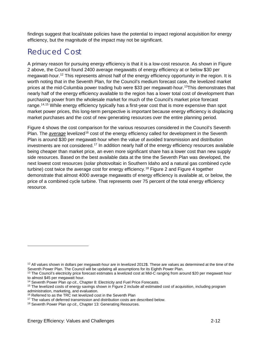findings suggest that local/state policies have the potential to impact regional acquisition for energy efficiency, but the magnitude of the impact may not be significant.

### <span id="page-15-0"></span>Reduced Cost

A primary reason for pursuing energy efficiency is that it is a low-cost resource. As shown in [Figure](#page-13-0)  [2](#page-13-0) above, the Council found 2400 average megawatts of energy efficiency at or below \$30 per megawatt-hour.<sup>[12](#page-15-1)</sup> This represents almost half of the energy efficiency opportunity in the region. It is worth noting that in the Seventh Plan, for the Council's medium forecast case, the levelized market prices at the mid-Columbia power trading hub were \$33 per megawatt-hour. [13T](#page-15-2)his demonstrates that nearly half of the energy efficiency available to the region has a lower total cost of development than purchasing power from the wholesale market for much of the Council's market price forecast range.<sup>14,[15](#page-15-4)</sup> While energy efficiency typically has a first-year cost that is more expensive than spot market power prices, this long-term perspective is important because energy efficiency is displacing market purchases and the cost of new generating resources over the entire planning period.

[Figure 4](#page-16-1) shows the cost comparison for the various resources considered in the Council's Seventh Plan. The *average* levelized<sup>[16](#page-15-5)</sup> cost of the energy efficiency called for development in the Seventh Plan is around \$30 per megawatt-hour when the value of avoided transmission and distribution investments are not considered.<sup>[17](#page-15-6)</sup> In addition nearly half of the energy efficiency resources available being cheaper than market price, an even more significant share has a lower cost than new supply side resources. Based on the best available data at the time the Seventh Plan was developed, the next lowest cost resources (solar photovoltaic in Southern Idaho and a natural gas combined cycle turbine) cost twice the average cost for energy efficiency.<sup>[18](#page-15-7)</sup> [Figure 2](#page-13-0) and [Figure 4](#page-16-1) together demonstrate that almost 4000 average megawatts of energy efficiency is available at, or below, the price of a combined cycle turbine. That represents over 75 percent of the total energy efficiency resource.

<span id="page-15-1"></span> $12$  All values shown in dollars per megawatt-hour are in levelized 2012\$. These are values as determined at the time of the Seventh Power Plan. The Council will be updating all assumptions for its Eighth Power Plan.

<span id="page-15-2"></span> $13$  The Council's electricity price forecast estimates a levelized cost at Mid-C ranging from around \$20 per megawatt hour to almost \$45 per megawatt hour.

<span id="page-15-3"></span><sup>14</sup> Seventh Power Plan *op cit.*, Chapter 8: Electricity and Fuel Price Forecasts.

<span id="page-15-4"></span><sup>&</sup>lt;sup>15</sup> The levelized costs of energy savings shown in [Figure 2](#page-13-0) include all estimated cost of acquisition, including program administration, marketing, and evaluation.

<span id="page-15-5"></span><sup>&</sup>lt;sup>16</sup> Referred to as the TRC net levelized cost in the Seventh Plan

<sup>&</sup>lt;sup>17</sup> The values of deferred transmission and distribution costs are described below.

<span id="page-15-7"></span><span id="page-15-6"></span><sup>18</sup> Seventh Power Plan *op cit.*, Chapter 13: Generating Resources.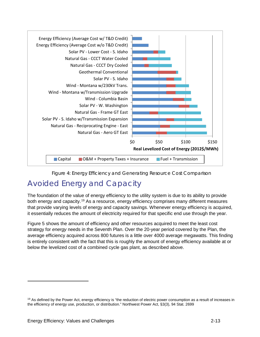

Figure 4: Energy Efficiency and Generating Resource Cost Comparison

### <span id="page-16-1"></span><span id="page-16-0"></span>Avoided Energy and Capacity

The foundation of the value of energy efficiency to the utility system is due to its ability to provide both energy and capacity.<sup>[19](#page-16-2)</sup> As a resource, energy efficiency comprises many different measures that provide varying levels of energy and capacity savings. Whenever energy efficiency is acquired, it essentially reduces the amount of electricity required for that specific end use through the year.

[Figure 5](#page-17-0) shows the amount of efficiency and other resources acquired to meet the least cost strategy for *energy* needs in the Seventh Plan. Over the 20-year period covered by the Plan, the average efficiency acquired across 800 futures is a little over 4000 average megawatts. This finding is entirely consistent with the fact that this is roughly the amount of energy efficiency available at or below the levelized cost of a combined cycle gas plant, as described above.

-

<span id="page-16-2"></span> $19$  As defined by the Power Act, energy efficiency is "the reduction of electric power consumption as a result of increases in the efficiency of energy use, production, or distribution." Northwest Power Act, §3(3), 94 Stat. 2699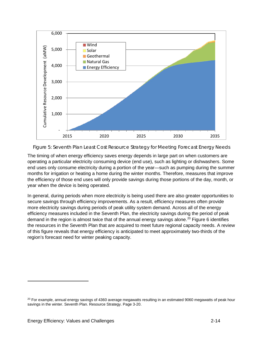

<span id="page-17-0"></span>Figure 5: Seventh Plan Least Cost Resource Strategy for Meeting Forecast Energy Needs

The timing of when energy efficiency saves energy depends in large part on when customers are operating a particular electricity consuming device (end use), such as lighting or dishwashers. Some end uses only consume electricity during a portion of the year—such as pumping during the summer months for irrigation or heating a home during the winter months. Therefore, measures that improve the efficiency of those end uses will only provide savings during those portions of the day, month, or year when the device is being operated.

In general, during periods when more electricity is being used there are also greater opportunities to secure savings through efficiency improvements. As a result, efficiency measures often provide more electricity savings during periods of peak utility system demand. Across all of the energy efficiency measures included in the Seventh Plan, the electricity savings during the period of peak demand in the region is almost twice that of the annual energy savings alone.<sup>[20](#page-17-1)</sup> [Figure 6](#page-18-0) identifies the resources in the Seventh Plan that are acquired to meet future regional capacity needs. A review of this figure reveals that energy efficiency is anticipated to meet approximately two-thirds of the region's forecast need for winter peaking capacity.

-

<span id="page-17-1"></span> $20$  For example, annual energy savings of 4360 average megawatts resulting in an estimated 9060 megawatts of peak hour savings in the winter. Seventh Plan. Resource Strategy. Page 3-20.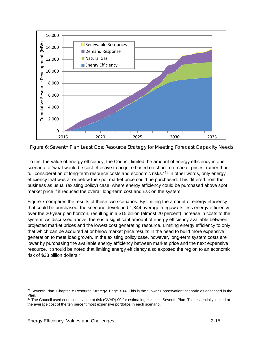

<span id="page-18-0"></span>Figure 6: Seventh Plan Least Cost Resource Strategy for Meeting Forecast Capacity Needs

To test the value of energy efficiency, the Council limited the amount of energy efficiency in one scenario to "what would be cost-effective to acquire based on short-run market prices, rather than full consideration of long-term resource costs and economic risks."<sup>[21](#page-18-1)</sup> In other words, only energy efficiency that was at or below the spot market price could be purchased. This differed from the business as usual (existing policy) case, where energy efficiency could be purchased above spot market price if it reduced the overall long-term cost and risk on the system.

[Figure 7](#page-19-2) compares the results of these two scenarios. By limiting the amount of energy efficiency that could be purchased, the scenario developed 1,844 average megawatts less energy efficiency over the 20-year plan horizon, resulting in a \$15 billion (almost 20 percent) increase in costs to the system. As discussed above, there is a significant amount of energy efficiency available between projected market prices and the lowest cost generating resource. Limiting energy efficiency to only that which can be acquired at or below market price results in the need to build more expensive generation to meet load growth. In the existing policy case, however, long-term system costs are lower by purchasing the available energy efficiency between market price and the next expensive resource. It should be noted that limiting energy efficiency also exposed the region to an economic risk of \$33 billion dollars.<sup>[22](#page-18-2)</sup>

<span id="page-18-1"></span> $21$  Seventh Plan. Chapter 3: Resource Strategy. Page 3-14. This is the "Lower Conservation" scenario as described in the Plan.

<span id="page-18-2"></span><sup>&</sup>lt;sup>22</sup> The Council used conditional value at risk (CVAR) 90 for estimating risk in its Seventh Plan. This essentially looked at the average cost of the ten percent most expensive portfolios in each scenario.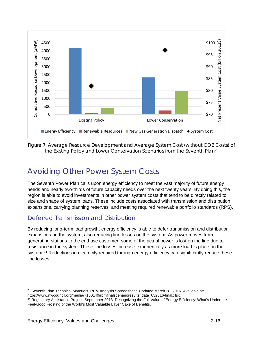

<span id="page-19-2"></span>Figure 7: Average Resource Development and Average System Cost (without CO2 Costs) of the Existing Policy and Lower Conservation Scenarios from the Seventh Plan<sup>[23](#page-19-3)</sup>

### <span id="page-19-0"></span>Avoiding Other Power System Costs

The Seventh Power Plan calls upon energy efficiency to meet the vast majority of future energy needs and nearly two-thirds of future capacity needs over the next twenty years. By doing this, the region is able to avoid investments in other power system costs that tend to be directly related to size and shape of system loads. These include costs associated with transmission and distribution expansions, carrying planning reserves, and meeting required renewable portfolio standards (RPS).

#### <span id="page-19-1"></span>Deferred Transmission and Distribution

By reducing long-term load growth, energy efficiency is able to defer transmission and distribution expansions on the system, also reducing line losses on the system. As power moves from generating stations to the end use customer, some of the actual power is lost on the line due to resistance in the system. These line losses increase exponentially as more load is place on the system.<sup>[24](#page-19-4)</sup> Reductions in electricity required through energy efficiency can significantly reduce these line losses.

<span id="page-19-3"></span><sup>&</sup>lt;sup>23</sup> Seventh Plan Technical Materials. RPM Analysis Spreadsheet. Updated March 28, 2016. Available at: https://www.nwcouncil.org/media/7150140/rpmfinalscenarioresults\_data\_032816-final.xlsx.

<span id="page-19-4"></span><sup>&</sup>lt;sup>24</sup> Regulatory Assistance Project, September 2013. Recognizing the Full Value of Energy Efficiency: What's Under the Feel-Good Frosting of the World's Most Valuable Layer Cake of Benefits.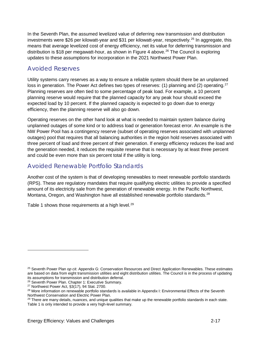In the Seventh Plan, the assumed levelized value of deferring new transmission and distribution investments were \$26 per kilowatt-year and \$31 per kilowatt-year, respectively.<sup>[25](#page-20-3)</sup> In aggregate, this means that average levelized cost of energy efficiency, net its value for deferring transmission and distribution is \$18 per megawatt-hour, as shown in [Figure 4](#page-16-1) above.<sup>[26](#page-20-4)</sup> The Council is exploring updates to these assumptions for incorporation in the 2021 Northwest Power Plan.

#### <span id="page-20-0"></span>Avoided Reserves

Utility systems carry reserves as a way to ensure a reliable system should there be an unplanned loss in generation. The Power Act defines two types of reserves: (1) planning and (2) operating.<sup>[27](#page-20-5)</sup> Planning reserves are often tied to some percentage of peak load. For example, a 10 percent planning reserve would require that the planned capacity for any peak hour should exceed the expected load by 10 percent. If the planned capacity is expected to go down due to energy efficiency, then the planning reserve will also go down.

Operating reserves on the other hand look at what is needed to maintain system balance during unplanned outages of some kind or to address load or generation forecast error. An example is the NW Power Pool has a contingency reserve (subset of operating reserves associated with unplanned outages) pool that requires that all balancing authorities in the region hold reserves associated with three percent of load and three percent of their generation. If energy efficiency reduces the load and the generation needed, it reduces the requisite reserve that is necessary by at least three percent and could be even more than six percent total if the utility is long.

#### <span id="page-20-1"></span>Avoided Renewable Portfolio Standards

Another cost of the system is that of developing renewables to meet renewable portfolio standards (RPS). These are regulatory mandates that require qualifying electric utilities to provide a specified amount of its electricity sale from the generation of renewable energy. In the Pacific Nort[hwest,](#page-20-2)  Montana, Oregon, and Washington have all established renewable portfolio standards.<sup>[28](#page-20-6)</sup>

<span id="page-20-2"></span>[Table 1](#page-20-2) shows those requirements at a high level.<sup>[29](#page-20-7)</sup>

<span id="page-20-3"></span><sup>25</sup> Seventh Power Plan o*p cit*. Appendix G: Conservation Resources and Direct Application Renewables. These estimates are based on data from eight transmission utilities and eight distribution utilities. The Council is in the process of updating its assumptions for transmission and distribution deferral.<br><sup>26</sup> Seventh Power Plan. Chapter 1: Executive Summary.

<span id="page-20-5"></span><span id="page-20-4"></span> $27$  Northwest Power Act, §3(17), 94 Stat. 2700.

<span id="page-20-6"></span><sup>&</sup>lt;sup>28</sup> More information on renewable portfolio standards is available in Appendix I: Environmental Effects of the Seventh Northwest Conservation and Electric Power Plan.

<span id="page-20-7"></span> $29$  There are many details, nuances, and unique qualities that make up the renewable portfolio standards in each state. [Table 1](#page-21-0) is only intended to provide a very high-level summary.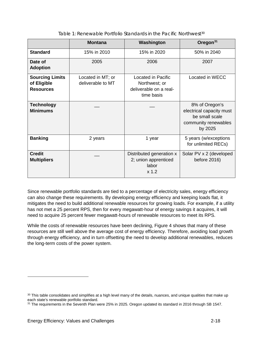<span id="page-21-0"></span>

|                                                           | <b>Montana</b>                         | Washington                                                                  | Oregon <sup>31</sup>                                                                            |
|-----------------------------------------------------------|----------------------------------------|-----------------------------------------------------------------------------|-------------------------------------------------------------------------------------------------|
| <b>Standard</b>                                           | 15% in 2010                            | 15% in 2020                                                                 | 50% in 2040                                                                                     |
| Date of<br><b>Adoption</b>                                | 2005                                   | 2006                                                                        | 2007                                                                                            |
| <b>Sourcing Limits</b><br>of Eligible<br><b>Resources</b> | Located in MT; or<br>deliverable to MT | Located in Pacific<br>Northwest; or<br>deliverable on a real-<br>time basis | Located in WECC                                                                                 |
| <b>Technology</b><br><b>Minimums</b>                      |                                        |                                                                             | 8% of Oregon's<br>electrical capacity must<br>be small scale<br>community renewables<br>by 2025 |
| <b>Banking</b>                                            | 2 years                                | 1 year                                                                      | 5 years (w/exceptions<br>for unlimited RECs)                                                    |
| <b>Credit</b><br><b>Multipliers</b>                       |                                        | Distributed generation x<br>2; union apprenticed<br>labor<br>$x$ 1.2        | Solar PV x 2 (developed<br>before 2016)                                                         |

Table 1: Renewable Portfolio Standards in the Pacific Northwest<sup>[30](#page-21-1)</sup>

Since renewable portfolio standards are tied to a percentage of electricity sales, energy efficiency can also change these requirements. By developing energy efficiency and keeping loads flat, it mitigates the need to build additional renewable resources for growing loads. For example, if a utility has not met a 25 percent RPS, then for every megawatt-hour of energy savings it acquires, it will need to acquire 25 percent fewer megawatt-hours of renewable resources to meet its RPS.

While the costs of renewable resources have been declining, [Figure 4](#page-16-1) shows that many of these resources are still well above the average cost of energy efficiency. Therefore, avoiding load growth through energy efficiency, and in turn offsetting the need to develop additional renewables, reduces the long-term costs of the power system.

<span id="page-21-1"></span> $30$  This table consolidates and simplifies at a high level many of the details, nuances, and unique qualities that make up each state's renewable portfolio standard.

<span id="page-21-2"></span><sup>&</sup>lt;sup>31</sup> The requirements in the Seventh Plan were 25% in 2025. Oregon updated its standard in 2016 through SB 1547.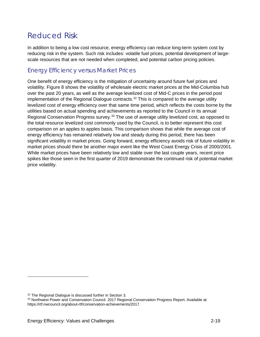### <span id="page-22-0"></span>Reduced Risk

In addition to being a low cost resource, energy efficiency can reduce long-term system cost by reducing risk in the system. Such risk includes: volatile fuel prices, potential development of largescale resources that are not needed when completed, and potential carbon pricing policies.

#### <span id="page-22-1"></span>Energy Efficiency versus Market Prices

One benefit of energy efficiency is the mitigation of uncertainty around future fuel prices and volatility. [Figure 8](#page-23-1) shows the volatility of wholesale electric market prices at the Mid-Columbia hub over the past 20 years, as well as the average levelized cost of Mid-C prices in the period post implementation of the Regional Dialogue contracts.<sup>[32](#page-22-2)</sup> This is compared to the average utility levelized cost of energy efficiency over that same time period, which reflects the costs borne by the utilities based on actual spending and achievements as reported to the Council in its annual Regional Conservation Progress survey.<sup>[33](#page-22-3)</sup> The use of average utility levelized cost, as opposed to the total resource levelized cost commonly used by the Council, is to better represent this cost comparison on an apples to apples basis. This comparison shows that while the average cost of energy efficiency has remained relatively low and steady during this period, there has been significant volatility in market prices. Going forward, energy efficiency avoids risk of future volatility in market prices should there be another major event like the West Coast Energy Crisis of 2000/2001. While market prices have been relatively low and stable over the last couple years, recent price spikes like those seen in the first quarter of 2019 demonstrate the continued risk of potential market price volatility.

<span id="page-22-2"></span><sup>&</sup>lt;sup>32</sup> The Regional Dialogue is discussed further i[n Section 3.](#page-29-0)

<span id="page-22-3"></span><sup>33</sup> Northwest Power and Conservation Council. 2017 Regional Conservation Progress Report. Available at: https://rtf.nwcouncil.org/about-rtf/conservation-achievements/2017.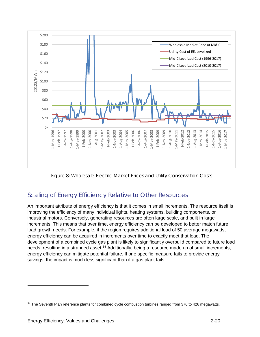

Figure 8: Wholesale Electric Market Prices and Utility Conservation Costs

### <span id="page-23-1"></span><span id="page-23-0"></span>Scaling of Energy Efficiency Relative to Other Resources

An important attribute of energy efficiency is that it comes in small increments. The resource itself is improving the efficiency of many individual lights, heating systems, building components, or industrial motors. Conversely, generating resources are often large scale, and built in large increments. This means that over time, energy efficiency can be developed to better match future load growth needs. For example, if the region requires additional load of 50 average megawatts, energy efficiency can be acquired in increments over time to exactly meet that load. The development of a combined cycle gas plant is likely to significantly overbuild compared to future load needs, resulting in a stranded asset.<sup>[34](#page-23-2)</sup> Additionally, being a resource made up of small increments, energy efficiency can mitigate potential failure. If one specific measure fails to provide energy savings, the impact is much less significant than if a gas plant fails.

<span id="page-23-2"></span><sup>34</sup> The Seventh Plan reference plants for combined cycle combustion turbines ranged from 370 to 426 megawatts.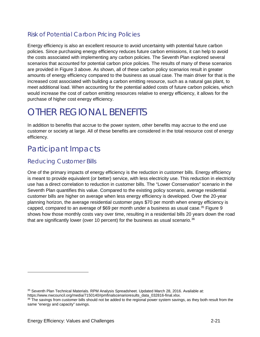#### <span id="page-24-0"></span>Risk of Potential Carbon Pricing Policies

Energy efficiency is also an excellent resource to avoid uncertainty with potential future carbon policies. Since purchasing energy efficiency reduces future carbon emissions, it can help to avoid the costs associated with implementing any carbon policies. The Seventh Plan explored several scenarios that accounted for potential carbon price policies. The results of many of these scenarios are provided in [Figure 3](#page-14-0) above. As shown, all of these carbon policy scenarios result in greater amounts of energy efficiency compared to the business as usual case. The main driver for that is the increased cost associated with building a carbon emitting resource, such as a natural gas plant, to meet additional load. When accounting for the potential added costs of future carbon policies, which would increase the cost of carbon emitting resources relative to energy efficiency, it allows for the purchase of higher cost energy efficiency.

## <span id="page-24-1"></span>OTHER REGIONAL BENEFITS

In addition to benefits that accrue to the power system, other benefits may accrue to the end use customer or society at large. All of these benefits are considered in the total resource cost of energy efficiency.

### <span id="page-24-2"></span>Participant Impacts

#### <span id="page-24-3"></span>Reducing Customer Bills

One of the primary impacts of energy efficiency is the reduction in customer bills. Energy efficiency is meant to provide equivalent (or better) service, with less electricity use. This reduction in electricity use has a direct correlation to reduction in customer bills. The "Lower Conservation" scenario in the Seventh Plan quantifies this value. Compared to the existing policy scenario, average residential customer bills are higher on average when less energy efficiency is developed. Over the 20-year planning horizon, the average residential customer pays \$70 per month when energy efficiency is capped, compared to an average of \$69 per month under a business as usual case.<sup>[35](#page-24-4)</sup> [Figure 9](#page-25-2) shows how those monthly costs vary over time, resulting in a residential bills 20 years down the road that are significantly lower (over 10 percent) for the business as usual scenario. $36$ 

https://www.nwcouncil.org/media/7150140/rpmfinalscenarioresults\_data\_032816-final.xlsx.

<span id="page-24-4"></span><sup>35</sup> Seventh Plan Technical Materials. RPM Analysis Spreadsheet. Updated March 28, 2016. Available at:

<span id="page-24-5"></span><sup>&</sup>lt;sup>36</sup> The savings from customer bills should not be added to the regional power system savings, as they both result from the same "energy and capacity" savings.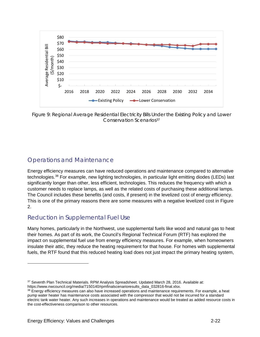

<span id="page-25-2"></span>Figure 9: Regional Average Residential Electricity Bills Under the Existing Policy and Lower Conservation Scenarios[37](#page-25-3)

#### <span id="page-25-0"></span>Operations and Maintenance

Energy efficiency measures can have reduced operations and maintenance compared to alternative technologies.[38](#page-25-4) For example, new lighting technologies, in particular light emitting diodes (LEDs) last significantly longer than other, less efficient, technologies. This reduces the frequency with which a customer needs to replace lamps, as well as the related costs of purchasing these additional lamps. The Council includes these benefits (and costs, if present) in the levelized cost of energy efficiency. This is one of the primary reasons there are some measures with a negative levelized cost in [Figure](#page-13-0)  [2.](#page-13-0)

#### <span id="page-25-1"></span>Reduction in Supplemental Fuel Use

Many homes, particularly in the Northwest, use supplemental fuels like wood and natural gas to heat their homes. As part of its work, the Council's Regional Technical Forum (RTF) has explored the impact on supplemental fuel use from energy efficiency measures. For example, when homeowners insulate their attic, they reduce the heating requirement for that house. For homes with supplemental fuels, the RTF found that this reduced heating load does not just impact the primary heating system,

<span id="page-25-3"></span><sup>37</sup> Seventh Plan Technical Materials. RPM Analysis Spreadsheet. Updated March 28, 2016. Available at: https://www.nwcouncil.org/media/7150140/rpmfinalscenarioresults\_data\_032816-final.xlsx.

<span id="page-25-4"></span>

<sup>&</sup>lt;sup>38</sup> Energy efficiency measures can also have increased operations and maintenance requirements. For example, a heat pump water heater has maintenance costs associated with the compressor that would not be incurred for a standard electric tank water heater. Any such increases in operations and maintenance would be treated as added resource costs in the cost-effectiveness comparison to other resources.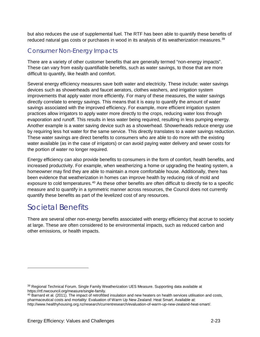but also reduces the use of supplemental fuel. The RTF has been able to quantify these benefits of reduced natural gas costs or purchases in wood in its analysis of its weatherization measures.<sup>[39](#page-26-2)</sup>

#### <span id="page-26-0"></span>Consumer Non-Energy Impacts

There are a variety of other customer benefits that are generally termed "non-energy impacts". These can vary from easily quantifiable benefits, such as water savings, to those that are more difficult to quantify, like health and comfort.

Several energy efficiency measures save both water and electricity. These include: water savings devices such as showerheads and faucet aerators, clothes washers, and irrigation system improvements that apply water more efficiently. For many of these measures, the water savings directly correlate to energy savings. This means that it is easy to quantify the amount of water savings associated with the improved efficiency. For example, more efficient irrigation system practices allow irrigators to apply water more directly to the crops, reducing water loss through evaporation and runoff. This results in less water being required, resulting in less pumping energy. Another example is a water saving device such as a showerhead. Showerheads reduce energy use by requiring less hot water for the same service. This directly translates to a water savings reduction. These water savings are direct benefits to consumers who are able to do more with the existing water available (as in the case of irrigators) or can avoid paying water delivery and sewer costs for the portion of water no longer required.

Energy efficiency can also provide benefits to consumers in the form of comfort, health benefits, and increased productivity. For example, when weatherizing a home or upgrading the heating system, a homeowner may find they are able to maintain a more comfortable house. Additionally, there has been evidence that weatherization in homes can improve health by reducing risk of mold and exposure to cold temperatures.<sup>[40](#page-26-3)</sup> As these other benefits are often difficult to directly tie to a specific measure and to quantify in a symmetric manner across resources, the Council does not currently quantify these benefits as part of the levelized cost of any resources.

### <span id="page-26-1"></span>Societal Benefits

 $\overline{a}$ 

There are several other non-energy benefits associated with energy efficiency that accrue to society at large. These are often considered to be environmental impacts, such as reduced carbon and other emissions, or health impacts.

<span id="page-26-2"></span><sup>&</sup>lt;sup>39</sup> Regional Technical Forum. Single Family Weatherization UES Measure. Supporting data available at https://rtf.nwcouncil.org/measure/single-family.

<span id="page-26-3"></span> $40$  Barnard et al. (2011). The impact of retrofitted insulation and new heaters on health services utilisation and costs, pharmaceutical costs and mortality: Evaluation of Warm Up New Zealand: Heat Smart. Available at: http://www.healthyhousing.org.nz/research/currentresearch/evaluation-of-warm-up-new-zealand-heat-smart/.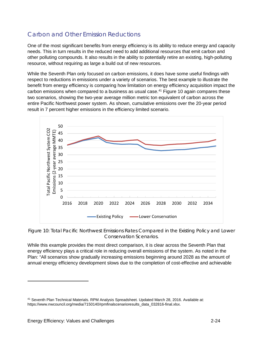#### <span id="page-27-0"></span>Carbon and Other Emission Reductions

One of the most significant benefits from energy efficiency is its ability to reduce energy and capacity needs. This in turn results in the reduced need to add additional resources that emit carbon and other polluting compounds. It also results in the ability to potentially retire an existing, high-polluting resource, without requiring as large a build out of new resources.

While the Seventh Plan only focused on carbon emissions, it does have some useful findings with respect to reductions in emissions under a variety of scenarios. The best example to illustrate the benefit from energy efficiency is comparing how limitation on energy efficiency acquisition impact the carbon emissions when compared to a business as usual case.<sup>41</sup> [Figure 10](#page-27-1) again compares these two scenarios, showing the two-year average million metric ton equivalent of carbon across the entire Pacific Northwest power system. As shown, cumulative emissions over the 20-year period result in 7 percent higher emissions in the efficiency limited scenario.



<span id="page-27-1"></span>Figure 10: Total Pacific Northwest Emissions Rates Compared in the Existing Policy and Lower Conservation Scenarios.

While this example provides the most direct comparison, it is clear across the Seventh Plan that energy efficiency plays a critical role in reducing overall emissions of the system. As noted in the Plan: "All scenarios show gradually increasing emissions beginning around 2028 as the amount of annual energy efficiency development slows due to the completion of cost-effective and achievable

-

<span id="page-27-2"></span><sup>41</sup> Seventh Plan Technical Materials. RPM Analysis Spreadsheet. Updated March 28, 2016. Available at: https://www.nwcouncil.org/media/7150140/rpmfinalscenarioresults\_data\_032816-final.xlsx.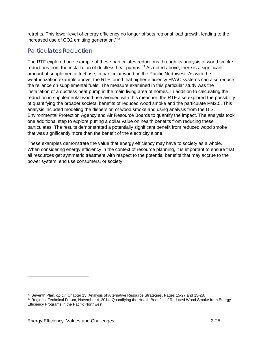retrofits. This lower level of energy efficiency no longer offsets regional load growth, leading to the increased use of CO2 emitting generation."[42](#page-28-1)

#### <span id="page-28-0"></span>Particulates Reduction

The RTF explored one example of these particulates reductions through its analysis of wood smoke reductions from the installation of ductless heat pumps.<sup>[43](#page-28-2)</sup> As noted above, there is a significant amount of supplemental fuel use, in particular wood, in the Pacific Northwest. As with the weatherization example above, the RTF found that higher efficiency HVAC systems can also reduce the reliance on supplemental fuels. The measure examined in this particular study was the installation of a ductless heat pump in the main living area of homes. In addition to calculating the reduction in supplemental wood use avoided with this measure, the RTF also explored the possibility of quantifying the broader societal benefits of reduced wood smoke and the particulate PM2.5. This analysis included modeling the dispersion of wood smoke and using analysis from the U.S. Environmental Protection Agency and Air Resource Boards to quantify the impact. The analysis took one additional step to explore putting a dollar value on health benefits from reducing these particulates. The results demonstrated a potentially significant benefit from reduced wood smoke that was significantly more than the benefit of the electricity alone.

These examples demonstrate the value that energy efficiency may have to society as a whole. When considering energy efficiency in the context of resource planning, it is important to ensure that all resources get symmetric treatment with respect to the potential benefits that may accrue to the power system, end use consumers, or society.

<span id="page-28-1"></span><sup>42</sup> Seventh Plan, *op cit*. Chapter 15: Analysis of Alternative Resource Strategies. Pages 15-27 and 15-28.

<span id="page-28-2"></span><sup>43</sup> Regional Technical Forum, November 4, 2014. Quantifying the Health Benefits of Reduced Wood Smoke from Energy Efficiency Programs in the Pacific Northwest.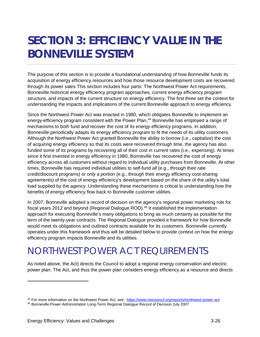## <span id="page-29-0"></span>**SECTION 3: EFFICIENCY VALUE IN THE BONNEVILLE SYSTEM**

The purpose of this section is to provide a foundational understanding of how Bonneville funds its acquisition of energy efficiency resources and how those resource development costs are recovered through its power sales This section includes four parts: The Northwest Power Act requirements, Bonneville historical energy efficiency program approaches, current energy efficiency program structure, and impacts of the current structure on energy efficiency. The first three set the context for understanding the impacts and implications of the current Bonneville approach to energy efficiency*.*

Since the Northwest Power Act was enacted in 1980, which obligates Bonneville to implement an energy-efficiency program consistent with the Power Plan,<sup>[44](#page-29-2)</sup> Bonneville has employed a range of mechanisms to both fund and recover the cost of its energy efficiency programs. In addition, Bonneville periodically adapts its energy efficiency program to fit the needs of its utility customers. Although the Northwest Power Act granted Bonneville the ability to borrow (i.e., capitalize) the cost of acquiring energy efficiency so that its costs were recovered through time, the agency has also funded some of its programs by recovering all of their cost in current rates (i.e., expensing). At times since it first invested in energy efficiency in 1980, Bonneville has recovered the cost of energy efficiency across all customers without regard to individual utility purchases from Bonneville. At other times, Bonneville has required individual utilities to self-fund *all* (e.g., through their rate credit/discount programs) or *only a portion* (e.g., through their energy efficiency cost-sharing agreements) of the cost of energy efficiency's development based on the share of the utility's total load supplied by the agency. Understanding these mechanisms is critical to understanding how the benefits of energy efficiency flow back to Bonneville customer utilities.

In 2007, Bonneville adopted a record of decision on the agency's regional power marketing role for fiscal years 2012 and beyond (Regional Dialogue ROD).<sup>[45](#page-29-3)</sup> It established the implementation approach for executing Bonneville's many obligations to bring as much certainty as possible for the term of the twenty-year contracts. The Regional Dialogue provided a framework for how Bonneville would meet its obligations and outlined contracts available for its customers. Bonneville currently operates under this framework and thus will be detailed below to provide context on how the energy efficiency program impacts Bonneville and its utilities.

## <span id="page-29-1"></span>NORTHWEST POWER ACT REQUIREMENTS

As noted above, the Act) directs the Council to adopt a regional energy conservation and electric power plan. The Act, and thus the power plan considers energy efficiency as a resource and directs

-

<span id="page-29-3"></span><span id="page-29-2"></span><sup>44</sup> For more information on the Northwest Power Act, see: https://www.nwcouncil.org/reports/northwest-power-act<br>45 Bonneville Power Administration Long-Term Regional Dialogue Record of Decision July 2007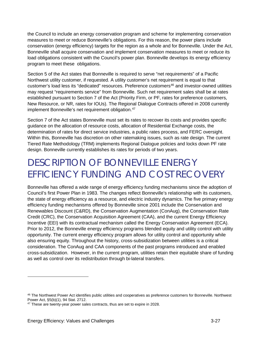the Council to include an energy conservation program and scheme for implementing conservation measures to meet or reduce Bonneville's obligations. For this reason, the power plans include conservation (energy efficiency) targets for the region as a whole and for Bonneville. Under the Act, Bonneville shall acquire conservation and implement conservation measures to meet or reduce its load obligations consistent with the Council's power plan. Bonneville develops its energy efficiency program to meet these obligations.

Section 5 of the Act states that Bonneville is required to serve "net requirements" of a Pacific Northwest utility customer, if requested. A utility customer's net requirement is equal to that customer's load less its "dedicated" resources. Preference customers<sup>[46](#page-30-1)</sup> and investor-owned utilities may request "requirements service" from Bonneville. Such net requirement sales shall be at rates established pursuant to Section 7 of the Act (Priority Firm, or PF, rates for preference customers, New Resource, or NR, rates for IOUs). The Regional Dialogue Contracts offered in 2008 currently implement Bonneville's net requirement obligation. [47](#page-30-2)

Section 7 of the Act states Bonneville must set its rates to recover its costs and provides specific guidance on the allocation of resource costs, allocation of Residential Exchange costs, the determination of rates for direct service industries, a public rates process, and FERC oversight. Within this, Bonneville has discretion on other ratemaking issues, such as rate design. The current Tiered Rate Methodology (TRM) implements Regional Dialogue policies and locks down PF rate design. Bonneville currently establishes its rates for periods of two years.

## <span id="page-30-0"></span>DESCRIPTION OF BONNEVILLE ENERGY EFFICIENCY FUNDING AND COST RECOVERY

Bonneville has offered a wide range of energy efficiency funding mechanisms since the adoption of Council's first Power Plan in 1983. The changes reflect Bonneville's relationship with its customers, the state of energy efficiency as a resource, and electric industry dynamics. The five primary energy efficiency funding mechanisms offered by Bonneville since 2001 include the Conservation and Renewables Discount (C&RD), the Conservation Augmentation (ConAug), the Conservation Rate Credit (CRC), the Conservation Acquisition Agreement (CAA), and the current Energy Efficiency Incentive (EEI) with its contractual mechanism called the Energy Conservation Agreement (ECA). Prior to 2012, the Bonneville energy efficiency programs blended equity and utility control with utility opportunity. The current energy efficiency program allows for utility control and opportunity while also ensuring equity. Throughout the history, cross-subsidization between utilities is a critical consideration. The ConAug and CAA components of the past programs introduced and enabled cross-subsidization. However, in the current program, utilities retain their equitable share of funding as well as control over its redistribution through bi-lateral transfers.

<span id="page-30-1"></span><sup>46</sup> The Northwest Power Act identifies public utilities and cooperatives as preference customers for Bonneville. Northwest Power Act, §5(b)(1), 94 Stat. 2712.

<span id="page-30-2"></span><sup>47</sup> These are twenty-year power sales contracts, thus are set to expire in 2028.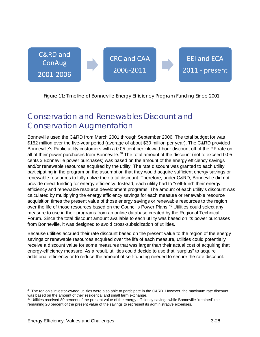

<span id="page-31-1"></span>Figure 11: Timeline of Bonneville Energy Efficiency Program Funding Since 2001

### <span id="page-31-0"></span>Conservation and Renewables Discount and Conservation Augmentation

Bonneville used the C&RD from March 2001 through September 2006. The total budget for was \$152 million over the five-year period (average of about \$30 million per year). The C&RD provided Bonneville's Public utility customers with a 0.05 cent per kilowatt-hour discount off of the PF rate on all of their power purchases from Bonneville.<sup>[48](#page-31-2)</sup> The total amount of the discount (not to exceed 0.05 cents x Bonneville power purchases) was based on the amount of the energy efficiency savings and/or renewable resources acquired by the utility. The rate discount was granted to each utility participating in the program on the assumption that they would acquire sufficient energy savings or renewable resources to fully utilize their total discount. Therefore, under C&RD, Bonneville did not provide direct funding for energy efficiency. Instead, each utility had to "self-fund" their energy efficiency and renewable resource development programs. The amount of each utility's discount was calculated by multiplying the energy efficiency savings for each measure or renewable resource acquisition times the present value of those energy savings or renewable resources to the region over the life of those resources based on the Council's Power Plans.<sup>[49](#page-31-3)</sup> Utilities could select any measure to use in their programs from an online database created by the Regional Technical Forum. Since the total discount amount available to each utility was based on its power purchases from Bonneville, it was designed to avoid cross-subsidization of utilities.

Because utilities accrued their rate discount based on the present value to the region of the energy savings or renewable resources acquired over the life of each measure, utilities could potentially receive a discount value for some measures that was larger than their actual cost of acquiring that energy-efficiency measure. As a result, utilities could decide to use that "surplus" to acquire additional efficiency or to reduce the amount of self-funding needed to secure the rate discount.

<span id="page-31-2"></span><sup>&</sup>lt;sup>48</sup> The region's investor-owned utilities were also able to participate in the C&RD. However, the maximum rate discount was based on the amount of their residential and small farm exchange.

<span id="page-31-3"></span><sup>&</sup>lt;sup>49</sup> Utilities received 80 percent of the present value of the energy efficiency savings while Bonneville "retained" the remaining 20 percent of the present value of the savings to represent its administrative expenses.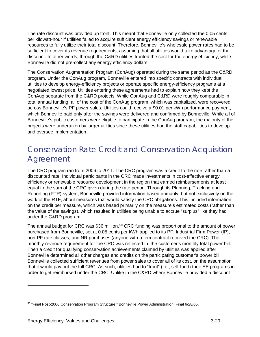The rate discount was provided up front. This meant that Bonneville only collected the 0.05 cents per kilowatt-hour if utilities failed to acquire sufficient energy efficiency savings or renewable resources to fully utilize their total discount. Therefore, Bonneville's wholesale power rates had to be sufficient to cover its revenue requirements, assuming that all utilities would take advantage of the discount. In other words, through the C&RD utilities fronted the cost for the energy efficiency, while Bonneville did not pre-collect any energy efficiency dollars.

The Conservation Augmentation Program (ConAug) operated during the same period as the C&RD program. Under the ConAug program, Bonneville entered into specific contracts with individual utilities to develop energy-efficiency projects or operate specific energy-efficiency programs at a negotiated lowest price. Utilities entering these agreements had to explain how they kept the ConAug separate from the C&RD projects. While ConAug and C&RD were roughly comparable in total annual funding, all of the cost of the ConAug program, which was capitalized, were recovered across Bonneville's PF power sales. Utilities could receive a \$0.01 per kWh performance payment, which Bonneville paid only after the savings were delivered and confirmed by Bonneville. While all of Bonneville's public customers were eligible to participate in the ConAug program, the majority of the projects were undertaken by larger utilities since these utilities had the staff capabilities to develop and oversee implementation.

### <span id="page-32-0"></span>Conservation Rate Credit and Conservation Acquisition Agreement

The CRC program ran from 2006 to 2011. The CRC program was a credit to the rate rather than a discounted rate. Individual participants in the CRC made investments in cost-effective energy efficiency or renewable resource development in the region that earned reimbursements at least equal to the sum of the CRC given during the rate period. Through its Planning, Tracking and Reporting (PTR) system, Bonneville provided information based primarily, but not exclusively on the work of the RTF, about measures that would satisfy the CRC obligations. This included information on the credit per measure, which was based primarily on the measure's estimated costs (rather than the value of the savings), which resulted in utilities being unable to accrue "surplus" like they had under the C&RD program.

The annual budget for CRC was \$36 million.<sup>[50](#page-32-1)</sup> CRC funding was proportional to the amount of power purchased from Bonneville, set at 0.05 cents per kWh applied to its PF, Industrial Firm Power (IP), , non-PF rate classes, and NR purchases (anyone with a firm contract received the CRC). The monthly revenue requirement for the CRC was reflected in the customer's monthly total power bill. Then a credit for qualifying conservation achievements claimed by utilities was applied after Bonneville determined all other charges and credits on the participating customer's power bill. Bonneville collected sufficient revenues from power sales to cover all of its cost, on the assumption that it would pay out the full CRC. As such, utilities had to "front" (i.e., self-fund) their EE programs in order to get reimbursed under the CRC. Unlike in the C&RD where Bonneville provided a discount

<span id="page-32-1"></span><sup>50</sup> "Final Post-2006 Conservation Program Structure," Bonneville Power Administration, Final 6/28/05.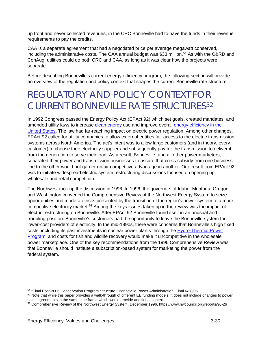up front and never collected revenues, in the CRC Bonneville had to have the funds in their revenue requirements to pay the credits.

CAA is a separate agreement that had a negotiated price per average megawatt conserved, including the administrative costs. The CAA annual budget was \$33 million.<sup>[51](#page-33-1)</sup> As with the C&RD and ConAug, utilities could do both CRC and CAA, as long as it was clear how the projects were separate.

Before describing Bonneville's current energy efficiency program, the following section will provide an overview of the regulation and policy context that shapes the current Bonneville rate structure.

## <span id="page-33-0"></span>REGULATORY AND POLICY CONTEXT FOR CURRENT BONNEVILLE RATE STRUCTURES[52](#page-33-2)

In 1992 Congress passed the Energy Policy Act (EPAct 92) which set goals, created mandates, and amended utility laws to increase [clean energy](https://en.wikipedia.org/wiki/Clean_energy) use and improve overall energy efficiency in the [United States.](https://en.wikipedia.org/wiki/Energy_efficiency_in_the_United_States) The law had far-reaching impact on electric power regulation. Among other changes, EPAct 92 called for utility companies to allow external entities fair access to the electric transmission systems across North America. The act's intent was to allow large customers (and in theory, every customer) to choose their electricity supplier and subsequently pay for the transmission to deliver it from the generation to serve their load. As a result, Bonneville, and all other power marketers, separated their power and transmission businesses to assure that cross subsidy from one business line to the other would not garner unfair competitive advantage in another. One result from EPAct 92 was to initiate widespread electric system restructuring discussions focused on opening up wholesale and retail competition.

The Northwest took up the discussion in 1996. In 1996, the governors of Idaho, Montana, Oregon and Washington convened the Comprehensive Review of the Northwest Energy System to seize opportunities and moderate risks presented by the transition of the region's power system to a more competitive electricity market.<sup>[53](#page-33-3)</sup> Among the keys issues taken up in the review was the impact of electric restructuring on Bonneville. After EPAct 92 Bonneville found itself in an unusual and troubling position. Bonneville's customers had the opportunity to leave the Bonneville system for lower-cost providers of electricity. In the mid-1990s, there were concerns that Bonneville's high fixed costs, including its past investments in nuclear power plants through the [Hydro-Thermal Power](https://www.nwcouncil.org/history/HydroThermal/)  [Program,](https://www.nwcouncil.org/history/HydroThermal/) and costs for fish and wildlife recovery would make it uncompetitive in the wholesale power marketplace. One of the key recommendations from the 1996 Comprehensive Review was that Bonneville should institute a subscription-based system for marketing the power from the federal system.

<span id="page-33-1"></span><sup>51</sup> "Final Post-2006 Conservation Program Structure," Bonneville Power Administration, Final 6/28/05.

<span id="page-33-2"></span><sup>&</sup>lt;sup>52</sup> Note that while this paper provides a walk-through of different EE funding models, it does not include changes to power sales agreements in the same time frame which would provide additional context.

<span id="page-33-3"></span><sup>53</sup> Comprehensive Review of the Northwest Energy System, December 1996, https://www.nwcouncil.org/reports/96-26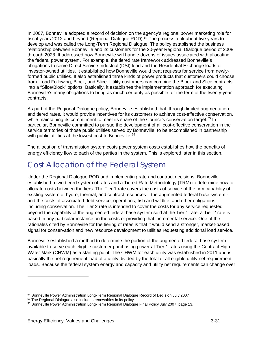In 2007, Bonneville adopted a record of decision on the agency's regional power marketing role for fiscal years 2012 and beyond (Regional Dialogue ROD). [54](#page-34-1) The process took about five years to develop and was called the Long-Term Regional Dialogue. The policy established the business relationship between Bonneville and its customers for the 20-year Regional Dialogue period of 2008 through 2028. It addressed how Bonneville will handle dozens of issues associated with allocating the federal power system. For example, the tiered rate framework addressed Bonneville's obligations to serve Direct Service Industrial (DSI) load and the Residential Exchange loads of investor-owned utilities. It established how Bonneville would treat requests for service from newlyformed public utilities. It also established three kinds of power products that customers could choose from: Load Following, Block, and Slice. Utility customers can combine the Block and Slice contracts into a "Slice/Block" options. Basically, it establishes the implementation approach for executing Bonneville's many obligations to bring as much certainty as possible for the term of the twenty-year contracts.

As part of the Regional Dialogue policy, Bonneville established that, through limited augmentation and tiered rates, it would provide incentives for its customers to achieve cost-effective conservation, while maintaining its commitment to meet its share of the Council's conservation target.<sup>[55](#page-34-2)</sup> In particular, Bonneville committed to pursue the development of all cost-effective conservation in the service territories of those public utilities served by Bonneville, to be accomplished in partnership with public utilities at the lowest cost to Bonneville. [56](#page-34-3)

The allocation of transmission system costs power system costs establishes how the benefits of energy efficiency flow to each of the parties in the system. This is explored later in this section.

### <span id="page-34-0"></span>Cost Allocation of the Federal System

Under the Regional Dialogue ROD and implementing rate and contract decisions, Bonneville established a two-tiered system of rates and a Tiered Rate Methodology (TRM) to determine how to allocate costs between the tiers. The Tier 1 rate covers the costs of service of the firm capability of existing system of hydro, thermal, and contract resources – the augmented federal base system and the costs of associated debt service, operations, fish and wildlife, and other obligations, including conservation. The Tier 2 rate is intended to cover the costs for any service requested beyond the capability of the augmented federal base system sold at the Tier 1 rate, a Tier 2 rate is based in any particular instance on the costs of providing that incremental service. One of the rationales cited by Bonneville for the tiering of rates is that it would send a stronger, market-based, signal for conservation and new resource development to utilities requesting additional load service.

Bonneville established a method to determine the portion of the augmented federal base system available to serve each eligible customer purchasing power at Tier 1 rates using the Contract High Water Mark (CHWM) as a starting point. The CHWM for each utility was established in 2011 and is basically the net requirement load of a utility divided by the total of all eligible utility net requirement loads. Because the federal system energy and capacity and utility net requirements can change over

<span id="page-34-1"></span><sup>&</sup>lt;sup>54</sup> Bonneville Power Administration Long-Term Regional Dialogue Record of Decision July 2007

<span id="page-34-2"></span><sup>55</sup> The Regional Dialogue also includes renewables in its policy.

<span id="page-34-3"></span><sup>56</sup> Bonneville Power Administration Long-Term Regional Dialogue Final Policy July 2007, page 13.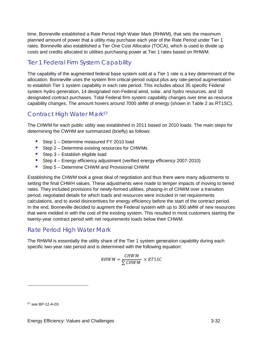time, Bonneville established a Rate Period High Water Mark (RHWM), that sets the maximum planned amount of power that a utility may purchase each year of the Rate Period under Tier 1 rates. Bonneville also established a Tier One Cost Allocator (TOCA), which is used to divide up costs and credits allocated to utilities purchasing power at Tier 1 rates based on RHWM.

#### <span id="page-35-0"></span>Tier 1 Federal Firm System Capability

The capability of the augmented federal base system sold at a Tier 1 rate is a key determinant of the allocation. Bonneville uses the system firm critical-period output plus any rate-period augmentation to establish Tier 1 system capability in each rate period. This includes about 35 specific Federal system hydro generation, 14 designated non-Federal wind, solar, and hydro resources, and 18 designated contract purchases. Total Federal firm system capability changes over time as resource capability changes. The amount hovers around 7000 aMW of energy (shown in [Table 2](#page-37-1) as RT1SC).

#### <span id="page-35-1"></span>Contract High Water Mark<sup>[57](#page-35-3)</sup>

The CHWM for each public utility was established in 2011 based on 2010 loads. The main steps for determining the CWHM are summarized (briefly) as follows:

- Step 1 Determine measured FY 2010 load
- Step 2 Determine existing resources for CHWMs
- **Step 3 Establish eligible load**
- Step 4 Energy efficiency adjustment (verified energy efficiency 2007-2010)
- Step 5 Determine CHWM and Provisional CHWM

Establishing the CHWM took a great deal of negotiation and thus there were many adjustments to setting the final CHWH values. These adjustments were made to temper impacts of moving to tiered rates. They included provisions for newly-formed utilities, phasing-in of CHWM over a transition period, negotiated details for which loads and resources were included in net requirements calculations, and to avoid disincentives for energy efficiency before the start of the contract period. In the end, Bonneville decided to augment the Federal system with up to 300 aMW of new resources that were melded in with the cost of the existing system. This resulted in most customers starting the twenty-year contract period with net requirements loads below their CHWM.

#### <span id="page-35-2"></span>Rate Period High Water Mark

The RHWM is essentially the utility share of the Tier 1 system generation capability during each specific two-year rate period and is determined with the following equation:

$$
RHWM = \frac{CHWM}{\sum CHWM} \times RT1SC
$$

<span id="page-35-3"></span><sup>57</sup> see BP-12-A-03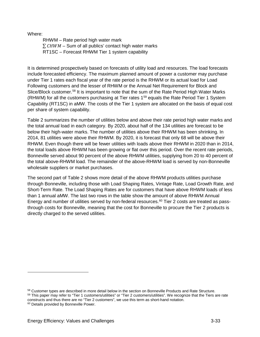Where:

RHWM – Rate period high water mark  $\sum$  CHWM – Sum of all publics' contact high water marks RT1SC – Forecast RHWM Tier 1 system capability

It is determined prospectively based on forecasts of utility load and resources. The load forecasts include forecasted efficiency. The maximum planned amount of power a customer may purchase under Tier 1 rates each fiscal year of the rate period is the RHWM or its actual load for Load Following customers and the lesser of RHWM or the Annual Net Requirement for Block and Slice/Block customer.<sup>[58](#page-36-0)</sup> It is important to note that the sum of the Rate Period High Water Marks (RHWM) for all the customers purchasing at Tier rates 1<sup>[59](#page-36-1)</sup> equals the Rate Period Tier 1 System Capability (RT1SC) in aMW. The costs of the Tier 1 system are allocated on the basis of equal cost per share of system capability.

[Table 2](#page-37-0) summarizes the number of utilities below and above their rate period high water marks and the total annual load in each category. By 2020, about half of the 134 utilities are forecast to be below their high-water marks. The number of utilities above their RHWM has been shrinking. In 2014, 81 utilities were above their RHWM. By 2020, it is forecast that only 68 will be above their RHWM. Even though there will be fewer utilities with loads above their RHWM in 2020 than in 2014, the total loads above RHWM has been growing or flat over this period. Over the recent rate periods, Bonneville served about 90 percent of the above RHWM utilities, supplying from 20 to 40 percent of the total above-RHWM load. The remainder of the above-RHWM load is served by non-Bonneville wholesale suppliers or market purchases.

The second part of [Table 2](#page-37-0) shows more detail of the above RHWM products utilities purchase through Bonneville, including those with Load Shaping Rates, Vintage Rate, Load Growth Rate, and Short-Term Rate. The Load Shaping Rates are for customers that have above RHWM loads of less than 1 annual aMW. The last two rows in the table show the amount of above RHWM Annual Energy and number of utilities served by non-federal resources. $60$  Tier 2 costs are treated as passthrough costs for Bonneville, meaning that the cost for Bonneville to procure the Tier 2 products is directly charged to the served utilities.

<sup>58</sup> Customer types are described in more detail below in the section on Bonneville Products and Rate Structure.

<span id="page-36-1"></span><span id="page-36-0"></span><sup>&</sup>lt;sup>59</sup> This paper may refer to "Tier 1 customers/utilities" or "Tier 2 customers/utilities". We recognize that the Tiers are rate constructs and thus there are no "Tier 2 customers", we use this term as short-hand notation.

<span id="page-36-2"></span><sup>&</sup>lt;sup>60</sup> Details provided by Bonneville Power.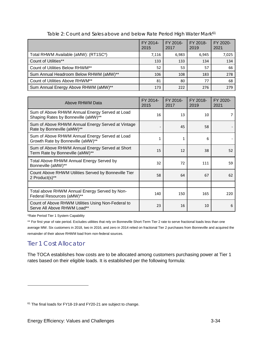<span id="page-37-0"></span>

|                                        | FY 2014-<br>2015 | FY 2016-<br>2017 | FY 2018-<br>2019 | FY 2020-<br>2021 |
|----------------------------------------|------------------|------------------|------------------|------------------|
| Total RHWM Available (aMW): (RT1SC*)   | 7,116            | 6.983            | 6.945            | 7,025            |
| <b>Count of Utilities**</b>            | 133              | 133              | 134              | 134              |
| Count of Utilities Below RHWM**        | 52               | 53               | 57               | 66               |
| Sum Annual Headroom Below RHWM (aMW)** | 106              | 108              | 183              | 278              |
| Count of Utilities Above RHWM**        | 81               | 80               | 77               | 68               |
| Sum Annual Energy Above RHWM (aMW)**   | 173              | 222              | 276              | 279              |

Table 2: Count and Sales above and below Rate Period High Water Mark<sup>[61](#page-37-1)</sup>

| Above RHWM Data                                                                       | FY 2014-<br>2015 | FY 2016-<br>2017 | FY 2018-<br>2019 | FY 2020-<br>2021 |
|---------------------------------------------------------------------------------------|------------------|------------------|------------------|------------------|
| Sum of Above RHWM Annual Energy Served at Load<br>Shaping Rates by Bonneville (aMW)** | 16               | 13               | 10               |                  |
| Sum of Above RHWM Annual Energy Served at Vintage<br>Rate by Bonneville (aMW)**       |                  | 45               | 58               |                  |
| Sum of Above RHWM Annual Energy Served at Load<br>Growth Rate by Bonneville (aMW)**   | 1                | $\mathbf{1}$     | 6                |                  |
| Sum of Above RHWM Annual Energy Served at Short<br>Term Rate by Bonneville (aMW)**    | 15               | 12               | 38               | 52               |
| Total Above RHWM Annual Energy Served by<br>Bonneville (aMW)**                        | 32               | 72               | 111              | 59               |
| Count Above RHWM Utilities Served by Bonneville Tier<br>2 Product(s)**                | 58               | 64               | 67               | 62               |
|                                                                                       |                  |                  |                  |                  |
| Total above RHWM Annual Energy Served by Non-<br>Federal Resources (aMW)**            | 140              | 150              | 165              | 220              |
| Count of Above RHWM Utilities Using Non-Federal to<br>Serve All Above RHWM Load**     | 23               | 16               | 10               | 6                |

\*Rate Period Tier 1 System Capability

\*\* For first year of rate period. Excludes utilities that rely on Bonneville Short-Term Tier 2 rate to serve fractional loads less than one average MW. Six customers in 2018, two in 2016, and zero in 2014 relied on fractional Tier 2 purchases from Bonneville and acquired the remainder of their above RHWM load from non-federal sources.

#### Tier 1 Cost Allocator

 $\overline{a}$ 

The TOCA establishes how costs are to be allocated among customers purchasing power at Tier 1 rates based on their eligible loads. It is established per the following formula:

<span id="page-37-1"></span><sup>&</sup>lt;sup>61</sup> The final loads for FY18-19 and FY20-21 are subject to change.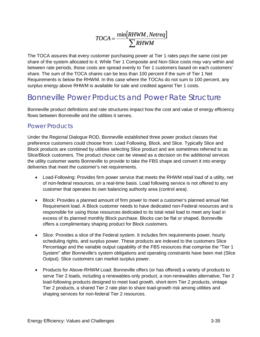$$
TOCA = \frac{\min[RHWM,Netreq]}{\sum RHWM}
$$

The TOCA assures that every customer purchasing power at Tier 1 rates pays the same cost per share of the system allocated to it. While Tier 1 Composite and Non-Slice costs may vary within and between rate periods, those costs are spread evenly to Tier 1 customers based on each customers' share. The sum of the TOCA shares can be less than 100 percent if the sum of Tier 1 Net Requirements is below the RHWM. In this case where the TOCAs do not sum to 100 percent, any surplus energy above RHWM is available for sale and credited against Tier 1 costs.

### Bonneville Power Products and Power Rate Structure

Bonneville product definitions and rate structures impact how the cost and value of energy efficiency flows between Bonneville and the utilities it serves.

#### Power Products

Under the Regional Dialogue ROD, Bonneville established three power product classes that preference customers could choose from: Load Following, Block, and Slice. Typically Slice and Block products are combined by utilities selecting Slice product and are sometimes referred to as Slice/Block customers. The product choice can be viewed as a decision on the additional services the utility customer wants Bonneville to provide to take the FBS shape and convert it into energy deliveries that meet the customer's net requirements.

- Load-Following: Provides firm power service that meets the RHWM retail load of a utility, net of non-federal resources, on a real-time basis. Load following service is not offered to any customer that operates its own balancing authority area (control area).
- Block: Provides a planned amount of firm power to meet a customer's planned annual Net Requirement load. A Block customer needs to have dedicated non-Federal resources and is responsible for using those resources dedicated to its total retail load to meet any load in excess of its planned monthly Block purchase. Blocks can be flat or shaped. Bonneville offers a complimentary shaping product for Block customers.
- Slice: Provides a slice of the Federal system. It includes firm requirements power, hourly scheduling rights, and surplus power. These products are indexed to the customers Slice Percentage and the variable output capability of the FBS resources that comprise the "Tier 1 System" after Bonneville's system obligations and operating constraints have been met (Slice Output). Slice customers can market surplus power.
- Products for Above-RHWM Load: Bonneville offers (or has offered) a variety of products to serve Tier 2 loads, including a renewables-only product, a non-renewables alternative, Tier 2 load-following products designed to meet load growth, short-term Tier 2 products, vintage Tier 2 products, a shared Tier 2 rate plan to share load-growth risk among utilities and shaping services for non-federal Tier 2 resources.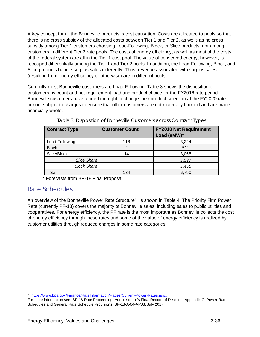A key concept for all the Bonneville products is cost causation. Costs are allocated to pools so that there is no cross subsidy of the allocated costs between Tier 1 and Tier 2, as wells as no cross subsidy among Tier 1 customers choosing Load-Following, Block, or Slice products, nor among customers in different Tier 2 rate pools. The costs of energy efficiency, as well as most of the costs of the federal system are all in the Tier 1 cost pool. The value of conserved energy, however, is recouped differentially among the Tier 1 and Tier 2 pools. In addition, the Load-Following, Block, and Slice products handle surplus sales differently. Thus, revenue associated with surplus sales (resulting from energy efficiency or otherwise) are in different pools.

Currently most Bonneville customers are Load-Following. [Table 3](#page-39-0) shows the disposition of customers by count and net requirement load and product choice for the FY2018 rate period. Bonneville customers have a one-time right to change their product selection at the FY2020 rate period, subject to charges to ensure that other customers are not materially harmed and are made financially whole.

<span id="page-39-0"></span>

| <b>Contract Type</b> | <b>Customer Count</b> | <b>FY2018 Net Requirement</b><br>Load (aMW)* |
|----------------------|-----------------------|----------------------------------------------|
| Load Following       | 118                   | 3,224                                        |
| <b>Block</b>         |                       | 511                                          |
| Slice/Block          | 14                    | 3,055                                        |
| <b>Slice Share</b>   |                       | 1,597                                        |
| <b>Block Share</b>   |                       | 1,458                                        |
| Total                | 134                   | 6,790                                        |

Table 3: Disposition of Bonneville Customers across Contract Types

\* Forecasts from BP-18 Final Proposal

#### Rate Schedules

 $\overline{a}$ 

An overview of the Bonneville Power Rate Structure<sup>[62](#page-39-1)</sup> is shown in [Table 4.](#page-40-0) The Priority Firm Power Rate (currently PF-18) covers the majority of Bonneville sales, including sales to public utilities and cooperatives. For energy efficiency, the PF rate is the most important as Bonneville collects the cost of energy efficiency through these rates and some of the value of energy efficiency is realized by customer utilities through reduced charges in some rate categories.

<span id="page-39-1"></span><sup>62</sup> <https://www.bpa.gov/Finance/RateInformation/Pages/Current-Power-Rates.aspx>

For more information see: BP-18 Rate Proceeding, Administrator's Final Record of Decision, Appendix C: Power Rate Schedules and General Rate Schedule Provisions, BP-18-A-04-AP03, July 2017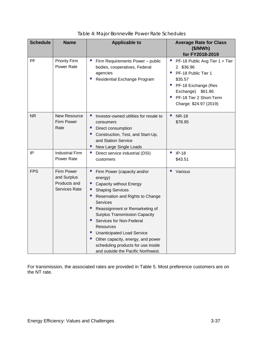<span id="page-40-0"></span>

| <b>Schedule</b> | <b>Name</b>                                                       | <b>Applicable to</b>                                                                                                                                                                                                                                                                                                                                                                                                                       | <b>Average Rate for Class</b><br>(\$/MWh)                                                                                                                                                                                                                                      |
|-----------------|-------------------------------------------------------------------|--------------------------------------------------------------------------------------------------------------------------------------------------------------------------------------------------------------------------------------------------------------------------------------------------------------------------------------------------------------------------------------------------------------------------------------------|--------------------------------------------------------------------------------------------------------------------------------------------------------------------------------------------------------------------------------------------------------------------------------|
| PF              | <b>Priority Firm</b><br>Power Rate                                | Firm Requirements Power - public<br>×.<br>bodies, cooperatives, Federal<br>agencies<br>Residential Exchange Program<br>ш                                                                                                                                                                                                                                                                                                                   | for FY2018-2019<br>$\mathcal{L}_{\mathcal{A}}$<br>PF-18 Public Avg Tier 1 + Tier<br>2 \$36.96<br>PF-18 Public Tier 1<br>$\mathcal{L}_{\mathcal{A}}$<br>\$35.57<br>×.<br>PF-18 Exchange (Res<br>Exchange)<br>\$61.86<br>PF-18 Tier 2 Short-Term<br>T,<br>Charge: \$24.97 (2019) |
| <b>NR</b>       | New Resource<br><b>Firm Power</b><br>Rate                         | Investor-owned utilities for resale to<br>×.<br>consumers<br>×.<br>Direct consumption<br>ш<br>Construction, Test, and Start-Up,<br>and Station Service<br>×.<br>New Large Single Loads                                                                                                                                                                                                                                                     | T,<br><b>NR-18</b><br>\$78.95                                                                                                                                                                                                                                                  |
| IP              | <b>Industrial Firm</b><br>Power Rate                              | $\mathcal{C}$<br>Direct service industrial (DSI)<br>customers                                                                                                                                                                                                                                                                                                                                                                              | $\mathcal{L}_{\mathcal{A}}$<br>$IP-18$<br>\$43.51                                                                                                                                                                                                                              |
| <b>FPS</b>      | Firm Power<br>and Surplus<br>Products and<br><b>Services Rate</b> | Firm Power (capacity and/or<br>energy)<br>Capacity without Energy<br><b>Shaping Services</b><br>×.<br>Reservation and Rights to Change<br>Services<br>ш<br>Reassignment or Remarketing of<br><b>Surplus Transmission Capacity</b><br>п<br>Services for Non-Federal<br>Resources<br>п<br><b>Unanticipated Load Service</b><br>Other capacity, energy, and power<br>scheduling products for use inside<br>and outside the Pacific Northwest. | Various                                                                                                                                                                                                                                                                        |

| Table 4: Major Bonneville Power Rate Schedules |  |
|------------------------------------------------|--|
|------------------------------------------------|--|

For transmission, the associated rates are provided in [Table 5.](#page-41-0) Most preference customers are on the NT rate.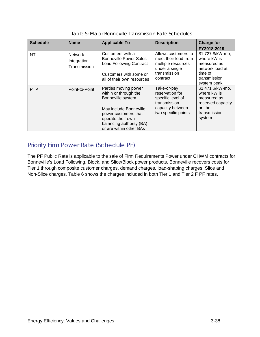<span id="page-41-0"></span>

| <b>Schedule</b> | <b>Name</b>                                   | <b>Applicable To</b>                                                                                                                                                                             | <b>Description</b>                                                                                              | <b>Charge for</b><br>FY2018-2019                                                                             |
|-----------------|-----------------------------------------------|--------------------------------------------------------------------------------------------------------------------------------------------------------------------------------------------------|-----------------------------------------------------------------------------------------------------------------|--------------------------------------------------------------------------------------------------------------|
| NT              | <b>Network</b><br>Integration<br>Transmission | Customers with a<br><b>Bonneville Power Sales</b><br><b>Load Following Contract</b><br>Customers with some or<br>all of their own resources                                                      | Allows customers to<br>meet their load from<br>multiple resources<br>under a single<br>transmission<br>contract | \$1.727 \$/kW-mo,<br>where kW is<br>measured as<br>network load at<br>time of<br>transmission<br>system peak |
| <b>PTP</b>      | Point-to-Point                                | Parties moving power<br>within or through the<br>Bonneville system<br>May include Bonneville<br>power customers that<br>operate their own<br>balancing authority (BA)<br>or are within other BAs | Take-or-pay<br>reservation for<br>specific level of<br>transmission<br>capacity between<br>two specific points  | \$1.471 \$/kW-mo,<br>where kW is<br>measured as<br>reserved capacity<br>on the<br>transmission<br>system     |

| Table 5: Major Bonneville Transmission Rate Schedules |
|-------------------------------------------------------|
|-------------------------------------------------------|

#### Priority Firm Power Rate (Schedule PF)

The PF Public Rate is applicable to the sale of Firm Requirements Power under CHWM contracts for Bonneville's Load Following, Block, and Slice/Block power products. Bonneville recovers costs for Tier 1 through composite customer charges, demand charges, load-shaping charges, Slice and Non-Slice charges. [Table 6](#page-42-0) shows the charges included in both Tier 1 and Tier 2 F PF rates.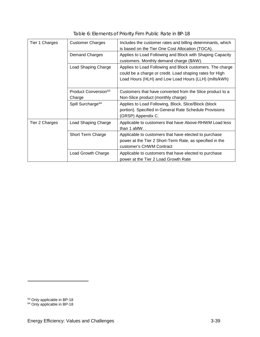<span id="page-42-0"></span>

| Tier 1 Charges | <b>Customer Charges</b>                    | Includes the customer rates and billing determinants, which<br>is based on the Tier One Cost Allocation (TOCA).                                                                |
|----------------|--------------------------------------------|--------------------------------------------------------------------------------------------------------------------------------------------------------------------------------|
|                | <b>Demand Charges</b>                      | Applies to Load Following and Block with Shaping Capacity<br>customers. Monthly demand charge (\$/kW).                                                                         |
|                | Load Shaping Charge                        | Applies to Load Following and Block customers. The charge<br>could be a charge or credit. Load shaping rates for High<br>Load Hours (HLH) and Low Load Hours (LLH) (mills/kWh) |
|                | Product Conversion <sup>63</sup><br>Charge | Customers that have converted from the Slice product to a<br>Non-Slice product (monthly charge)                                                                                |
|                | Spill Surcharge <sup>64</sup>              | Applies to Load Following, Block, Slice/Block (block<br>portion). Specified in General Rate Schedule Provisions<br>(GRSP) Appendix C.                                          |
| Tier 2 Charges | Load Shaping Charge                        | Applicable to customers that have Above-RHWM Load less<br>than $1$ aMW                                                                                                         |
|                | Short Term Charge                          | Applicable to customers that have elected to purchase<br>power at the Tier 2 Short-Term Rate, as specified in the<br>customer's CHWM Contract                                  |
|                | Load Growth Charge                         | Applicable to customers that have elected to purchase<br>power at the Tier 2 Load Growth Rate                                                                                  |

Table 6: Elements of Priority Firm Public Rate in BP-18

-

<span id="page-42-1"></span><sup>&</sup>lt;sup>63</sup> Only applicable in BP-18

<span id="page-42-2"></span><sup>&</sup>lt;sup>64</sup> Only applicable in BP-18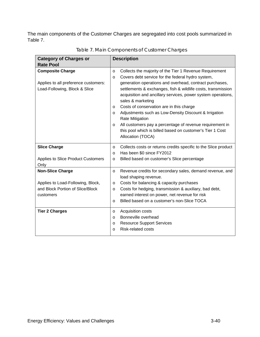The main components of the Customer Charges are segregated into cost pools summarized in [Table 7.](#page-43-0)

<span id="page-43-0"></span>

| <b>Category of Charges or</b><br><b>Rate Pool</b>                                                             | <b>Description</b>                                                                                                                                                                                                                                                                                                                                                                                                                                                                                                                                                                                                                                               |
|---------------------------------------------------------------------------------------------------------------|------------------------------------------------------------------------------------------------------------------------------------------------------------------------------------------------------------------------------------------------------------------------------------------------------------------------------------------------------------------------------------------------------------------------------------------------------------------------------------------------------------------------------------------------------------------------------------------------------------------------------------------------------------------|
| <b>Composite Charge</b><br>Applies to all preference customers:<br>Load-Following, Block & Slice              | Collects the majority of the Tier 1 Revenue Requirement<br>$\circ$<br>Covers debt service for the federal hydro system,<br>$\circ$<br>generation operations and overhead, contract purchases,<br>settlements & exchanges, fish & wildlife costs, transmission<br>acquisition and ancillary services, power system operations,<br>sales & marketing<br>Costs of conservation are in this charge<br>$\circ$<br>Adjustments such as Low-Density Discount & Irrigation<br>$\circ$<br><b>Rate Mitigation</b><br>All customers pay a percentage of revenue requirement in<br>$\circ$<br>this pool which is billed based on customer's Tier 1 Cost<br>Allocation (TOCA) |
| <b>Slice Charge</b><br>Applies to Slice Product Customers<br>Only                                             | Collects costs or returns credits specific to the Slice product<br>$\circ$<br>Has been \$0 since FY2012<br>$\circ$<br>Billed based on customer's Slice percentage<br>$\circ$                                                                                                                                                                                                                                                                                                                                                                                                                                                                                     |
| <b>Non-Slice Charge</b><br>Applies to Load-Following, Block,<br>and Block Portion of Slice/Block<br>customers | Revenue credits for secondary sales, demand revenue, and<br>$\circ$<br>load shaping revenue.<br>Costs for balancing & capacity purchases<br>$\circ$<br>Costs for hedging, transmission & auxiliary, bad debt,<br>$\circ$<br>earned interest on power, net revenue for risk<br>Billed based on a customer's non-Slice TOCA<br>$\Omega$                                                                                                                                                                                                                                                                                                                            |
| <b>Tier 2 Charges</b>                                                                                         | Acquisition costs<br>$\circ$<br>Bonneville overhead<br>$\circ$<br><b>Resource Support Services</b><br>$\circ$<br><b>Risk-related costs</b><br>$\Omega$                                                                                                                                                                                                                                                                                                                                                                                                                                                                                                           |

Table 7. Main Components of Customer Charges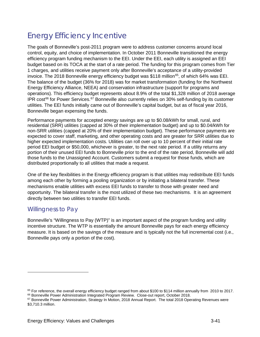## Energy Efficiency Incentive

The goals of Bonneville's post-2011 program were to address customer concerns around local control, equity, and choice of implementation. In October 2011 Bonneville transitioned the energy efficiency program funding mechanism to the EEI. Under the EEI, each utility is assigned an EEI budget based on its TOCA at the start of a rate period. The funding for this program comes from Tier 1 charges, and utilities receive payment only after Bonneville's acceptance of a utility-provided invoice. The 2018 Bonneville energy efficiency budget was \$118 million<sup>[65](#page-44-0)</sup>, of which 64% was EEI. The balance of the budget (36% for 2018) was for market transformation (funding for the Northwest Energy Efficiency Alliance, NEEA) and conservation infrastructure (support for programs and operations). This efficiency budget represents about 8.9% of the total \$1,328 million of 2018 average IPR cost<sup>[66](#page-44-1)</sup> for Power Services.<sup>[67](#page-44-2)</sup> Bonneville also currently relies on 30% self-funding by its customer utilities. The EEI funds initially came out of Bonneville's capital budget, but as of fiscal year 2016, Bonneville began expensing the funds.

Performance payments for accepted energy savings are up to \$0.08/kWh for small, rural, and residential (SRR) utilities (capped at 30% of their implementation budget) and up to \$0.04/kWh for non-SRR utilities (capped at 20% of their implementation budget). These performance payments are expected to cover staff, marketing, and other operating costs and are greater for SRR utilities due to higher expected implementation costs. Utilities can roll over up to 10 percent of their initial rate period EEI budget or \$50,000, whichever is greater, to the next rate period. If a utility returns any portion of their unused EEI funds to Bonneville prior to the end of the rate period, Bonneville will add those funds to the Unassigned Account. Customers submit a request for those funds, which are distributed proportionally to all utilities that made a request.

One of the key flexibilities in the Energy efficiency program is that utilities may redistribute EEI funds among each other by forming a pooling organization or by initiating a bilateral transfer. These mechanisms enable utilities with excess EEI funds to transfer to those with greater need and opportunity. The bilateral transfer is the most utilized of these two mechanisms. It is an agreement directly between two utilities to transfer EEI funds.

#### Willingness to Pay

 $\overline{a}$ 

Bonneville's "Willingness to Pay (WTP)" is an important aspect of the program funding and utility incentive structure. The WTP is essentially the amount Bonneville pays for each energy efficiency measure. It is based on the savings of the measure and is typically not the full incremental cost (i.e., Bonneville pays only a portion of the cost).

<span id="page-44-0"></span> $65$  For reference, the overall energy efficiency budget ranged from about \$100 to \$114 million annually from 2010 to 2017.

<span id="page-44-1"></span><sup>66</sup> Bonneville Power Administration Integrated Program Review. Close-out report, October 2018.

<span id="page-44-2"></span><sup>67</sup> Bonneville Power Administration, Strategy In Motion, 2018 Annual Report. The total 2018 Operating Revenues were \$3,710.3 million.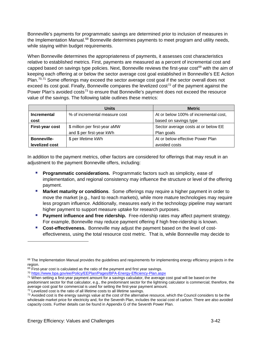Bonneville's payments for programmatic savings are determined prior to inclusion of measures in the Implementation Manual.<sup>[68](#page-45-0)</sup> Bonneville determines payments to meet program and utility needs, while staying within budget requirements.

When Bonneville determines the appropriateness of payments, it assesses cost characteristics relative to established metrics. First, payments are measured as a percent of incremental cost and capped based on savings type policies. Next, Bonneville reviews the first-year cost<sup>[69](#page-45-1)</sup> with the aim of keeping each offering at or below the sector average cost goal established in Bonneville's EE Action Plan.<sup>[70](#page-45-2),[71](#page-45-3)</sup> Some offerings may exceed the sector average cost goal if the sector overall does not exceed its cost goal. Finally, Bonneville compares the levelized cost<sup>[72](#page-45-4)</sup> of the payment against the Power Plan's avoided costs<sup>[73](#page-45-5)</sup> to ensure that Bonneville's payment does not exceed the resource value of the savings. The following table outlines these metrics:

|                    | <b>Units</b>                  | <b>Metric</b>                         |
|--------------------|-------------------------------|---------------------------------------|
| Incremental        | % of incremental measure cost | At or below 100% of incremental cost, |
| cost               |                               | based on savings type                 |
| First-year cost    | \$ million per first-year aMW | Sector average costs at or below EE   |
|                    | and \$ per first-year kWh     | Plan goals                            |
| <b>Bonneville-</b> | \$ per lifetime kWh           | At or below effective Power Plan      |
| levelized cost     |                               | avoided costs                         |

In addition to the payment metrics, other factors are considered for offerings that may result in an adjustment to the payment Bonneville offers, including:

- **Programmatic considerations.** Programmatic factors such as simplicity, ease of implementation, and regional consistency may influence the structure or level of the offering payment.
- **Market maturity or conditions**. Some offerings may require a higher payment in order to move the market (e.g., hard to reach markets), while more mature technologies may require less program influence. Additionally, measures early in the technology pipeline may warrant higher payment to support measure uptake for research purposes.
- **Payment influence and free ridership.** Free-ridership rates may affect payment strategy. For example, Bonneville may reduce payment offering if high free-ridership is known.
- **Cost-effectiveness.** Bonneville may adjust the payment based on the level of costeffectiveness, using the total resource cost metric. That is, while Bonneville may decide to

<span id="page-45-0"></span><sup>&</sup>lt;sup>68</sup> The Implementation Manual provides the guidelines and requirements for implementing energy efficiency projects in the region.

<span id="page-45-1"></span> $69$  First-year cost is calculated as the ratio of the payment and first year savings.

<span id="page-45-2"></span><sup>70</sup> <https://www.bpa.gov/ee/Policy/EEPlan/Pages/BPA-Energy-Efficiency-Plan.aspx>

<span id="page-45-3"></span><sup>&</sup>lt;sup>71</sup> When setting a first-year payment amount for a savings calculator, the average cost goal will be based on the predominant sector for that calculator, e.g., the predominant sector for the lightning calculator is commercial; therefore, the average cost goal for commercial is used for setting the first-year payment amount.

<span id="page-45-4"></span> $72$  Levelized cost is the ratio of all lifetime costs to all lifetime savings.

<span id="page-45-5"></span> $73$  Avoided cost is the energy savings value at the cost of the alternative resource, which the Council considers to be the wholesale market price for electricity and, for the Seventh Plan, includes the social cost of carbon. There are also avoided capacity costs. Further details can be found in Appendix G of the Seventh Power Plan.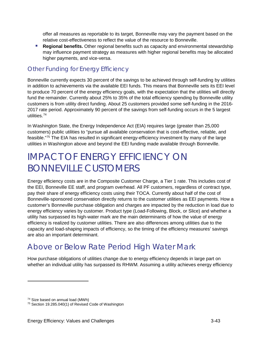offer all measures as reportable to its target, Bonneville may vary the payment based on the relative cost-effectiveness to reflect the value of the resource to Bonneville.

**Regional benefits.** Other regional benefits such as capacity and environmental stewardship may influence payment strategy as measures with higher regional benefits may be allocated higher payments, and vice-versa.

#### Other Funding for Energy Efficiency

Bonneville currently expects 30 percent of the savings to be achieved through self-funding by utilities in addition to achievements via the available EEI funds. This means that Bonneville sets its EEI level to produce 70 percent of the energy efficiency goals, with the expectation that the utilities will directly fund the remainder. Currently about 25% to 35% of the total efficiency spending by Bonneville utility customers is from utility direct funding. About 25 customers provided some self-funding in the 2016- 2017 rate period. Approximately 90 percent of the savings from self-funding occurs in the 5 largest utilities. [74](#page-46-0)

In Washington State, the Energy Independence Act (EIA) requires large (greater than 25,000 customers) public utilities to "pursue all available conservation that is cost-effective, reliable, and feasible."[75](#page-46-1) The EIA has resulted in significant energy-efficiency investment by many of the large utilities in Washington above and beyond the EEI funding made available through Bonneville.

## IMPACT OF ENERGY EFFICIENCY ON BONNEVILLE CUSTOMERS

Energy efficiency costs are in the Composite Customer Charge, a Tier 1 rate. This includes cost of the EEI, Bonneville EE staff, and program overhead. All PF customers, regardless of contract type, pay their share of energy efficiency costs using their TOCA. Currently about half of the cost of Bonneville-sponsored conservation directly returns to the customer utilities as EEI payments. How a customer's Bonneville purchase obligation and charges are impacted by the reduction in load due to energy efficiency varies by customer. Product type (Load-Following, Block, or Slice) and whether a utility has surpassed its high-water mark are the main determinants of how the value of energy efficiency is realized by customer utilities. There are also differences among utilities due to the capacity and load-shaping impacts of efficiency, so the timing of the efficiency measures' savings are also an important determinant.

### Above or Below Rate Period High Water Mark

How purchase obligations of utilities change due to energy efficiency depends in large part on whether an individual utility has surpassed its RHWM. Assuming a utility achieves energy efficiency

-

<span id="page-46-0"></span><sup>74</sup> Size based on annual load (MWh)

<span id="page-46-1"></span><sup>75</sup> Section 19.285.040(1) of Revised Code of Washington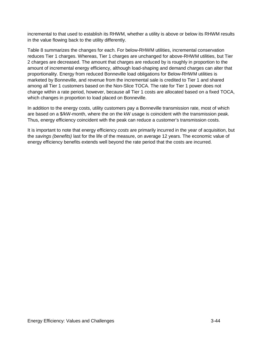incremental to that used to establish its RHWM, whether a utility is above or below its RHWM results in the value flowing back to the utility differently.

[Table 8](#page-48-0) summarizes the changes for each. For below-RHWM utilities, incremental conservation reduces Tier 1 charges. Whereas, Tier 1 charges are unchanged for above-RHWM utilities, but Tier 2 charges are decreased. The amount that charges are reduced by is roughly in proportion to the amount of incremental energy efficiency, although load-shaping and demand charges can alter that proportionality. Energy from reduced Bonneville load obligations for Below-RHWM utilities is marketed by Bonneville, and revenue from the incremental sale is credited to Tier 1 and shared among all Tier 1 customers based on the Non-Slice TOCA. The rate for Tier 1 power does not change within a rate period, however, because all Tier 1 costs are allocated based on a fixed TOCA, which changes in proportion to load placed on Bonneville.

In addition to the energy costs, utility customers pay a Bonneville transmission rate, most of which are based on a \$/kW-month, where the on the kW usage is coincident with the transmission peak. Thus, energy efficiency coincident with the peak can reduce a customer's transmission costs.

It is important to note that energy efficiency *costs* are primarily incurred in the year of acquisition, but the *savings (benefits)* last for the life of the measure, on average 12 years. The economic value of energy efficiency benefits extends well beyond the rate period that the costs are incurred.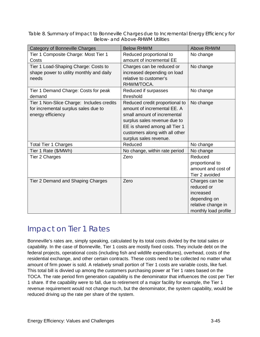<span id="page-48-0"></span>Table 8. Summary of Impact to Bonneville Charges due to Incremental Energy Efficiency for Below- and Above-RHWM Utilities

| Category of Bonneville Charges                                                                         | <b>Below RHWM</b>                                                                                                                                                                                                         | Above RHWM                                                                                              |
|--------------------------------------------------------------------------------------------------------|---------------------------------------------------------------------------------------------------------------------------------------------------------------------------------------------------------------------------|---------------------------------------------------------------------------------------------------------|
| Tier 1 Composite Charge: Most Tier 1<br>Costs                                                          | Reduced proportional to<br>amount of incremental EE                                                                                                                                                                       | No change                                                                                               |
| Tier 1 Load-Shaping Charge: Costs to<br>shape power to utility monthly and daily<br>needs              | Charges can be reduced or<br>increased depending on load<br>relative to customer's<br>RHWM/TOCA.                                                                                                                          | No change                                                                                               |
| Tier 1 Demand Charge: Costs for peak<br>demand                                                         | Reduced if surpasses<br>threshold                                                                                                                                                                                         | No change                                                                                               |
| Tier 1 Non-Slice Charge: Includes credits<br>for incremental surplus sales due to<br>energy efficiency | Reduced credit proportional to<br>amount of incremental EE. A<br>small amount of incremental<br>surplus sales revenue due to<br>EE is shared among all Tier 1<br>customers along with all other<br>surplus sales revenue. | No change                                                                                               |
| <b>Total Tier 1 Charges</b>                                                                            | Reduced                                                                                                                                                                                                                   | No change                                                                                               |
| Tier 1 Rate (\$/MWh)                                                                                   | No change, within rate period                                                                                                                                                                                             | No change                                                                                               |
| Tier 2 Charges                                                                                         | Zero                                                                                                                                                                                                                      | Reduced<br>proportional to<br>amount and cost of<br>Tier 2 avoided                                      |
| Tier 2 Demand and Shaping Charges                                                                      | Zero                                                                                                                                                                                                                      | Charges can be<br>reduced or<br>increased<br>depending on<br>relative change in<br>monthly load profile |

## Impact on Tier 1 Rates

Bonneville's rates are, simply speaking, calculated by its total costs divided by the total sales or capability. In the case of Bonneville, Tier 1 costs are mostly fixed costs. They include debt on the federal projects, operational costs (including fish and wildlife expenditures), overhead, costs of the residential exchange, and other certain contracts. These costs need to be collected no matter what amount of firm power is sold. A relatively small portion of Tier 1 costs are variable costs, like fuel. This total bill is divvied up among the customers purchasing power at Tier 1 rates based on the TOCA. The rate period firm generation capability is the denominator that influences the cost per Tier 1 share. If the capability were to fall, due to retirement of a major facility for example, the Tier 1 revenue requirement would not change much, but the denominator, the system capability, would be reduced driving up the rate per share of the system.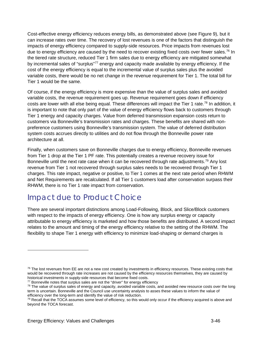Cost-effective energy efficiency reduces energy bills, as demonstrated above (see Figure 9), but it can increase rates over time. The recovery of lost revenues is one of the factors that distinguish the impacts of energy efficiency compared to supply-side resources. Price impacts from revenues lost due to energy efficiency are caused by the need to recover existing fixed costs over fewer sales.<sup>[76](#page-49-0)</sup> In the tiered rate structure, reduced Tier 1 firm sales due to energy efficiency are mitigated somewhat by incremental sales of "surplus"<sup>[77](#page-49-1)</sup> energy and capacity made available by energy efficiency. If the cost of the energy efficiency is equal to the incremental value of surplus sales plus the avoided variable costs, there would be no net change in the revenue requirement for Tier 1. The total bill for Tier 1 would be the same.

Of course, if the energy efficiency is more expensive than the value of surplus sales and avoided variable costs, the revenue requirement goes up. Revenue requirement goes down if efficiency costs are lower with all else being equal. These differences will impact the Tier 1 rate.<sup>[78](#page-49-2)</sup> In addition, it is important to note that only part of the value of energy efficiency flows back to customers through Tier 1 energy and capacity charges. Value from deferred transmission expansion costs return to customers via Bonneville's transmission rates and charges. These benefits are shared with nonpreference customers using Bonneville's transmission system. The value of deferred distribution system costs accrues directly to utilities and do not flow through the Bonneville power rate architecture at all.

Finally, when customers save on Bonneville charges due to energy efficiency, Bonneville revenues from Tier 1 drop at the Tier 1 PF rate. This potentially creates a revenue recovery issue for Bonneville until the next rate case when it can be recovered through rate adjustments.<sup>[79](#page-49-3)</sup> Any lost revenue from Tier 1 not recovered through surplus sales needs to be recovered through Tier 1 charges. This rate impact, negative or positive, to Tier 1 comes at the next rate period when RHWM and Net Requirements are recalculated. If all Tier 1 customers load after conservation surpass their RHWM, there is no Tier 1 rate impact from conservation.

## Impact due to Product Choice

There are several important distinctions among Load-Following, Block, and Slice/Block customers with respect to the impacts of energy efficiency. One is how any surplus energy or capacity attributable to energy efficiency is marketed and how those benefits are distributed. A second impact relates to the amount and timing of the energy efficiency relative to the setting of the RHWM. The flexibility to shape Tier 1 energy with efficiency to minimize load-shaping or demand charges is

<span id="page-49-0"></span> $76$  The lost revenues from EE are not a new cost created by investments in efficiency resources. These existing costs that would be recovered through rate increases are not caused by the efficiency resources themselves, they are caused by historical investments in supply-side resources that become fixed costs.<br><sup>77</sup> Bonneville notes that surplus sales are not the "driver" for energy efficiency

<span id="page-49-1"></span>

<span id="page-49-2"></span><sup>&</sup>lt;sup>78</sup> The value of surplus sales of energy and capacity, avoided variable costs, and avoided new resource costs over the long term is uncertain. Bonneville and the Council use uncertainty analysis to asses these values to inform the value of efficiency over the long-term and identify the value of risk reduction.

<span id="page-49-3"></span><sup>&</sup>lt;sup>79</sup> Recall that the TOCA assumes some level of efficiency, so this would only occur if the efficiency acquired is above and beyond the TOCA forecast.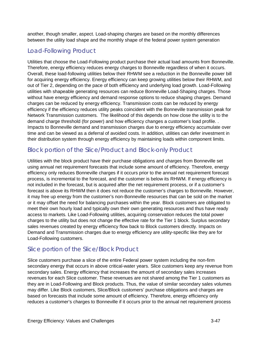another, though smaller, aspect. Load-shaping charges are based on the monthly differences between the utility load shape and the monthly shape of the federal power system generation

#### Load-Following Product

Utilities that choose the Load-Following product purchase their actual load amounts from Bonneville. Therefore, energy efficiency reduces energy charges to Bonneville regardless of when it occurs. Overall, these load-following utilities below their RHWM see a reduction in the Bonneville power bill for acquiring energy efficiency. Energy efficiency can keep growing utilities below their RHWM, and out of Tier 2, depending on the pace of both efficiency and underlying load growth. Load-Following utilities with shapeable generating resources can reduce Bonneville Load-Shaping charges. Those without have energy efficiency and demand response options to reduce shaping charges. Demand charges can be reduced by energy efficiency. Transmission costs can be reduced by energy efficiency if the efficiency reduces utility peaks coincident with the Bonneville transmission peak for Network Transmission customers. The likelihood of this depends on how close the utility is to the demand charge threshold (for power) and how efficiency changes a customer's load profile. . Impacts to Bonneville demand and transmission charges due to energy efficiency accumulate over time and can be viewed as a deferral of avoided costs. In addition, utilities can defer investment in their distribution system through energy efficiency by maintaining loads within component limits.

#### Block portion of the Slice/Product and Block-only Product

Utilities with the block product have their purchase obligations and charges from Bonneville set using annual net requirement forecasts that include some amount of efficiency. Therefore, energy efficiency only reduces Bonneville charges if it occurs prior to the annual net requirement forecast process, is incremental to the forecast, and the customer is below its RHWM. If energy efficiency is not included in the forecast, but is acquired after the net requirement process, or if a customer's forecast is above its RHWM then it does not reduce the customer's charges to Bonneville. However, it may free up energy from the customer's non-Bonneville resources that can be sold on the market or it may offset the need for balancing purchases within the year. Block customers are obligated to meet their own hourly load and typically own their own generating resources and thus have ready access to markets. Like Load-Following utilities, acquiring conservation reduces the total power charges to the utility but does not change the effective rate for the Tier 1 block. Surplus secondary sales revenues created by energy efficiency flow back to Block customers directly. Impacts on Demand and Transmission charges due to energy efficiency are utility-specific like they are for Load-Following customers.

#### Slice portion of the Slice/Block Product

Slice customers purchase a slice of the entire Federal power system including the non-firm secondary energy that occurs in above critical-water years. Slice customers keep any revenue from secondary sales. Energy efficiency that increases the amount of secondary sales increases revenues for each Slice customer. These revenues are not shared among the Tier 1 customers as they are in Load-Following and Block products. Thus, the value of similar secondary sales volumes may differ. Like Block customers, Slice/Block customers' purchase obligations and charges are based on forecasts that include some amount of efficiency. Therefore, energy efficiency only reduces a customer's charges to Bonneville if it occurs prior to the annual net requirement process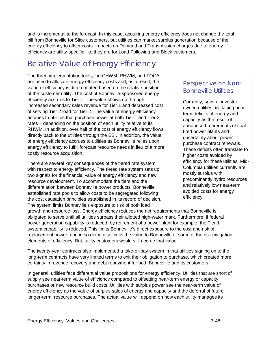and is incremental to the forecast. In this case, acquiring energy efficiency does not change the total bill from Bonneville for Slice customers, but utilities can market surplus generation because of the energy efficiency to offset costs. Impacts on Demand and Transmission charges due to energy efficiency are utility-specific like they are for Load-Following and Block customers.

### Relative Value of Energy Efficiency

The three implementation tools, the CHWM, RHWM, and TOCA, are used to allocate energy efficiency costs and, as a result, the value of efficiency is differentiated based on the relative position of the customer utility. The cost of Bonneville-sponsored energy efficiency accrues to Tier 1. The value shows up through increased secondary sales revenue for Tier 1 and decreased cost of serving Tier 2 load for Tier 2. The value of energy efficiency accrues to utilities that purchase power at both Tier 1 and Tier 2 rates – depending on the position of each utility relative to its RHWM. In addition, over half of the cost of energy efficiency flows directly back to the utilities through the EEI. In addition, the value of energy efficiency accrues to utilities as Bonneville relies upon energy efficiency to fulfill forecast resource needs in lieu of a more costly resource acquisition.

There are several key consequences of the tiered rate system with respect to energy efficiency. The tiered rate system sets up two signals for the financial value of energy efficiency and new resource development. To accommodate the tiers and the differentiation between Bonneville power products, Bonneville established rate pools to allow costs to be segregated following the cost causation principles established in its record of decision. The system limits Bonneville's exposure to risk of both load

#### Perspective on Non-Bonneville Utilities

Currently, several investorowned utilities are facing nearterm deficits of energy and capacity as the result of announced retirements of coalfired power plants and uncertainty about power purchase contract renewals. These deficits often translate to higher costs avoided by efficiency for these utilities. Mid-Columbia utilities currently are mostly surplus with predominantly hydro resources and relatively low near-term avoided costs for energy efficiency.

growth and resource loss. Energy efficiency reduces the net requirements that Bonneville is obligated to serve until all utilities surpass their allotted high-water mark. Furthermore, if federal power generation capability is reduced, by retirement of a power plant for example, the Tier 1 system capability is reduced. This limits Bonneville's direct exposure to the cost and risk of replacement power, and in so doing also limits the value to Bonneville of some of the risk mitigation elements of efficiency. But, utility customers would still accrue that value.

The twenty-year contracts also implemented a take-or-pay system in that utilities signing on to the long-term contracts have very limited terms to exit their obligation to purchase, which created more certainty in revenue recovery and debt repayment for both Bonneville and its customers.

In general, utilities face differential value propositions for energy efficiency. Utilities that are short of supply see near-term value of efficiency compared to offsetting near-term energy or capacity purchases or new resource build costs. Utilities with surplus power see the near-term value of energy efficiency as the value of surplus sales of energy and capacity and the deferral of future, longer-term, resource purchases. The actual value will depend on how each utility manages its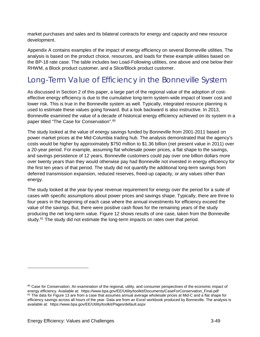market purchases and sales and its bilateral contracts for energy and capacity and new resource development.

Appendix A contains examples of the impact of energy efficiency on several Bonneville utilities. The analysis is based on the product choice, resources, and loads for these example utilities based on the BP-18 rate case. The table includes two Load-Following utilities, one above and one below their RHWM, a Block product customer, and a Slice/Block product customer.

## Long-Term Value of Efficiency in the Bonneville System

As discussed in Section 2 of this paper, a large part of the regional value of the adoption of costeffective energy efficiency is due to the cumulative long-term system-wide impact of lower cost and lower risk. This is true in the Bonneville system as well. Typically, integrated resource planning is used to estimate these values going forward. But a look backward is also instructive. In 2013, Bonneville examined the value of a decade of historical energy efficiency achieved on its system in a paper titled "The Case for Conservation".<sup>[80](#page-52-0)</sup>

The study looked at the value of energy savings funded by Bonneville from 2001-2011 based on power market prices at the Mid-Columbia trading hub. The analysis demonstrated that the agency's costs would be higher by approximately \$750 million to \$1.36 billion (net present value in 2011) over a 20-year period. For example, assuming flat wholesale power prices, a flat shape to the savings, and savings persistence of 12 years, Bonneville customers could pay over one billion dollars more over twenty years than they would otherwise pay had Bonneville not invested in energy efficiency for the first ten years of that period. The study did not quantify the additional long-term savings from deferred transmission expansion, reduced reserves, freed-up capacity, or any values other than energy.

The study looked at the year-by-year revenue requirement for energy over the period for a suite of cases with specific assumptions about power prices and savings shape. Typically, there are three to four years in the beginning of each case where the annual investments for efficiency exceed the value of the savings. But, there were positive cash flows for the remaining years of the study producing the net long-term value. [Figure 12](#page-53-0) shows results of one case, taken from the Bonneville study.<sup>[81](#page-52-1)</sup> The study did not estimate the long-term impacts on rates over that period.

<span id="page-52-1"></span><span id="page-52-0"></span><sup>&</sup>lt;sup>80</sup> Case for Conservation: An examination of the regional, utility, and consumer perspectives of the economic impact of energy efficiency. Available at: https://www.bpa.gov/EE/Utility/toolkit/Documents/CaseForConservation\_Final.pdf <sup>81</sup> The data for Figure 13 are from a case that assumes annual average wholesale prices at Mid-C and a flat shape for efficiency savings across all hours of the year. Data are from an Excel workbook produced by Bonneville. The analysis is available at: https://www.bpa.gov/EE/Utility/toolkit/Pages/default.aspx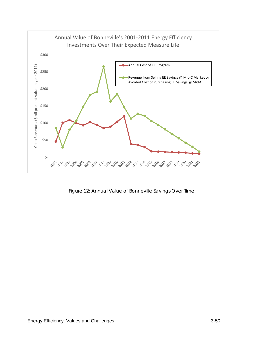

<span id="page-53-0"></span>Figure 12: Annual Value of Bonneville Savings Over Time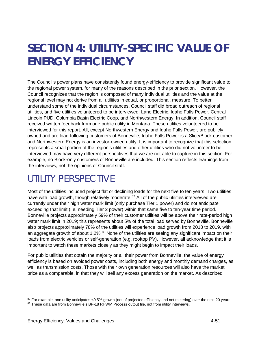## <span id="page-54-2"></span>**SECTION 4: UTILITY-SPECIFIC VALUE OF ENERGY EFFICIENCY**

The Council's power plans have consistently found energy-efficiency to provide significant value to the regional power system, for many of the reasons described in the prior section. However, the Council recognizes that the region is composed of many individual utilities and the value at the regional level may not derive from all utilities in equal, or proportional, measure. To better understand some of the individual circumstances, Council staff did broad outreach of regional utilities, and five utilities volunteered to be interviewed: Lane Electric, Idaho Falls Power, Central Lincoln PUD, Columbia Basin Electric Coop, and Northwestern Energy. In addition, Council staff received written feedback from one public utility in Montana. These utilities volunteered to be interviewed for this report. All, except Northwestern Energy and Idaho Falls Power, are publicly owned and are load-following customers of Bonneville; Idaho Falls Power is a Slice/Block customer and Northwestern Energy is an investor-owned utility. It is important to recognize that this selection represents a small portion of the region's utilities and other utilities who did not volunteer to be interviewed may have very different perspectives that we are not able to capture in this section. For example, no Block-only customers of Bonneville are included. This section reflects learnings from the interviews, not the opinions of Council staff.

## UTILITY PERSPECTIVE

Most of the utilities included project flat or declining loads for the next five to ten years. Two utilities have with load growth, though relatively moderate.<sup>[82](#page-54-0)</sup> All of the public utilities interviewed are currently under their high water mark limit (only purchase Tier 1 power) and do not anticipate exceeding that limit (i.e. needing Tier 2 power) within that same five to ten-year time period. Bonneville projects approximately 59% of their customer utilities will be above their rate-period high water mark limit in 2019; this represents about 5% of the total load served by Bonneville. Bonneville also projects approximately 78% of the utilities will experience load growth from 2018 to 2019, with an aggregate growth of about  $1.2\%$ .<sup>[83](#page-54-1)</sup> None of the utilities are seeing any significant impact on their loads from electric vehicles or self-generation (e.g. rooftop PV). However, all acknowledge that it is important to watch these markets closely as they might begin to impact their loads.

For public utilities that obtain the majority or all their power from Bonneville, the value of energy efficiency is based on avoided power costs, including both energy and monthly demand charges, as well as transmission costs. Those with their own generation resources will also have the market price as a comparable, in that they will sell any excess generation on the market. As described

-

<span id="page-54-1"></span><span id="page-54-0"></span> $82$  For example, one utility anticipates <0.5% growth (net of projected efficiency and net metering) over the next 20 years. 83 These data are from Bonneville's BP-18 RHWM Process output file, not from utility interviews.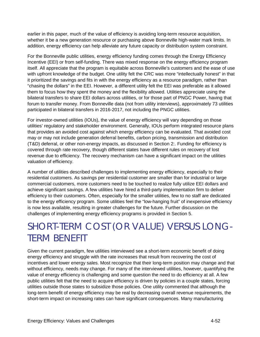earlier in this paper, much of the value of efficiency is avoiding long-term resource acquisition, whether it be a new generation resource or purchasing above Bonneville high-water mark limits. In addition, energy efficiency can help alleviate any future capacity or distribution system constraint.

For the Bonneville public utilities, energy efficiency funding comes through the Energy Efficiency Incentive (EEI) or from self-funding. There was mixed response on the energy efficiency program itself. All appreciate that the program is equitable across Bonneville's customers and the ease of use with upfront knowledge of the budget. One utility felt the CRC was more "intellectually honest" in that it prioritized the savings and fits in with the energy efficiency as a resource paradigm, rather than "chasing the dollars" in the EEI. However, a different utility felt the EEI was preferable as it allowed them to focus how they spent the money and the flexibility allowed. Utilities appreciate using the bilateral transfers to share EEI dollars across utilities, or for those part of PNGC Power, having that forum to transfer money. From Bonneville data (not from utility interviews), approximately 73 utilities participated in bilateral transfers in 2016-2017, not including the PNGC utilities.

For investor-owned utilities (IOUs), the value of energy efficiency will vary depending on those utilities' regulatory and stakeholder environment. Generally, IOUs perform integrated resource plans that provides an avoided cost against which energy efficiency can be evaluated. That avoided cost may or may not include generation deferral benefits, carbon pricing, transmission and distribution (T&D) deferral, or other non-energy impacts, as discussed in [Section 2:.](#page-11-0) Funding for efficiency is covered through rate recovery, though different states have different rules on recovery of lost revenue due to efficiency. The recovery mechanism can have a significant impact on the utilities valuation of efficiency.

A number of utilities described challenges to implementing energy efficiency, especially to their residential customers. As savings per residential customer are smaller than for industrial or large commercial customers, more customers need to be touched to realize fully utilize EEI dollars and achieve significant savings. A few utilities have hired a third-party implementation firm to deliver efficiency to their customers. Often, especially for the smaller utilities, few to no staff are dedicated to the energy efficiency program. Some utilities feel the "low-hanging fruit" of inexpensive efficiency is now less available, resulting in greater challenges for the future. Further discussion on the challenges of implementing energy efficiency programs is provided in [Section 5.](#page-57-0)

## SHORT-TERM COST (OR VALUE) VERSUS LONG-TERM BENEFIT

Given the current paradigm, few utilities interviewed see a short-term economic benefit of doing energy efficiency and struggle with the rate increases that result from recovering the cost of incentives and lower energy sales. Most recognize that their long-term position may change and that without efficiency, needs may change. For many of the interviewed utilities, however, quantifying the value of energy efficiency is challenging and some question the need to do efficiency at all. A few public utilities felt that the need to acquire efficiency is driven by policies in a couple states, forcing utilities outside those states to subsidize those policies. One utility commented that although the long-term benefit of energy efficiency may be real by decreasing overall revenue requirements, the short-term impact on increasing rates can have significant consequences. Many manufacturing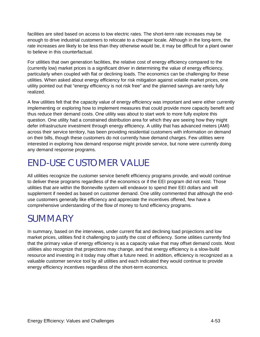facilities are sited based on access to low electric rates. The short-term rate increases may be enough to drive industrial customers to relocate to a cheaper locale. Although in the long-term, the rate increases are likely to be less than they otherwise would be, it may be difficult for a plant owner to believe in this counterfactual.

For utilities that own generation facilities, the relative cost of energy efficiency compared to the (currently low) market prices is a significant driver in determining the value of energy efficiency, particularly when coupled with flat or declining loads. The economics can be challenging for these utilities. When asked about energy efficiency for risk mitigation against volatile market prices, one utility pointed out that "energy efficiency is not risk free" and the planned savings are rarely fully realized.

A few utilities felt that the capacity value of energy efficiency was important and were either currently implementing or exploring how to implement measures that could provide more capacity benefit and thus reduce their demand costs. One utility was about to start work to more fully explore this question. One utility had a constrained distribution area for which they are seeing how they might defer infrastructure investment through energy efficiency. A utility that has advanced meters (AMI) across their service territory, has been providing residential customers with information on demand on their bills, though these customers do not currently have demand charges. Few utilities were interested in exploring how demand response might provide service, but none were currently doing any demand response programs.

## END-USE CUSTOMER VALUE

All utilities recognize the customer service benefit efficiency programs provide, and would continue to deliver these programs regardless of the economics or if the EEI program did not exist. Those utilities that are within the Bonneville system will endeavor to spend their EEI dollars and will supplement if needed as based on customer demand. One utility commented that although the enduse customers generally like efficiency and appreciate the incentives offered, few have a comprehensive understanding of the flow of money to fund efficiency programs.

## **SUMMARY**

In summary, based on the interviews, under current flat and declining load projections and low market prices, utilities find it challenging to justify the cost of efficiency. Some utilities currently find that the primary value of energy efficiency is as a capacity value that may offset demand costs. Most utilities also recognize that projections may change, and that energy efficiency is a slow-build resource and investing in it today may offset a future need. In addition, efficiency is recognized as a valuable customer service tool by all utilities and each indicated they would continue to provide energy efficiency incentives regardless of the short-term economics.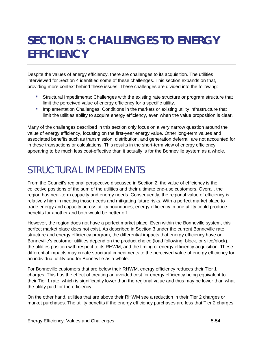## <span id="page-57-0"></span>**SECTION 5: CHALLENGES TO ENERGY EFFICIENCY**

Despite the values of energy efficiency, there are challenges to its acquisition. The utilities interviewed for [Section 4](#page-54-2) identified some of these challenges. This section expands on that, providing more context behind these issues. These challenges are divided into the following:

- Structural Impediments: Challenges with the existing rate structure or program structure that limit the perceived value of energy efficiency for a specific utility.
- **Implementation Challenges: Conditions in the markets or existing utility infrastructure that** limit the utilities ability to acquire energy efficiency, even when the value proposition is clear.

Many of the challenges described in this section only focus on a very narrow question around the value of energy efficiency, focusing on the first-year energy value. Other long-term values and associated benefits such as transmission, distribution, and generation deferral, are not accounted for in these transactions or calculations. This results in the short-term view of energy efficiency appearing to be much less cost-effective than it actually is for the Bonneville system as a whole.

## STRUCTURAL IMPEDIMENTS

From the Council's regional perspective discussed in Section 2, the value of efficiency is the collective positions of the sum of the utilities and their ultimate end-use customers. Overall, the region has near-term capacity and energy needs. Consequently, the regional value of efficiency is relatively high in meeting those needs and mitigating future risks. With a perfect market place to trade energy and capacity across utility boundaries, energy efficiency in one utility could produce benefits for another and both would be better off.

However, the region does not have a perfect market place. Even within the Bonneville system, this perfect market place does not exist. As described in Section 3 under the current Bonneville rate structure and energy efficiency program, the differential impacts that energy efficiency have on Bonneville's customer utilities depend on the product choice (load following, block, or slice/block), the utilities position with respect to its RHWM, and the timing of energy efficiency acquisition. These differential impacts may create structural impediments to the perceived value of energy efficiency for an individual utility and for Bonneville as a whole.

For Bonneville customers that are below their RHWM, energy efficiency reduces their Tier 1 charges. This has the effect of creating an avoided cost for energy efficiency being equivalent to their Tier 1 rate, which is significantly lower than the regional value and thus may be lower than what the utility paid for the efficiency.

On the other hand, utilities that are above their RHWM see a reduction in their Tier 2 charges or market purchases. The utility benefits if the energy efficiency purchases are less that Tier 2 charges,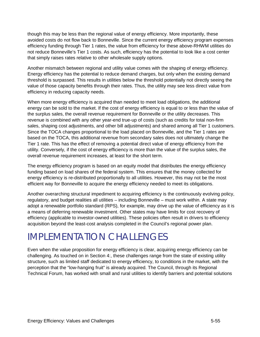though this may be less than the regional value of energy efficiency. More importantly, these avoided costs do not flow back to Bonneville. Since the current energy efficiency program expenses efficiency funding through Tier 1 rates, the value from efficiency for these above-RHWM utilities do not reduce Bonneville's Tier 1 costs. As such, efficiency has the potential to look like a cost center that simply raises rates relative to other wholesale supply options.

Another mismatch between regional and utility value comes with the shaping of energy efficiency. Energy efficiency has the potential to reduce demand charges, but only when the existing demand threshold is surpassed. This results in utilities below the threshold potentially not directly seeing the value of those capacity benefits through their rates. Thus, the utility may see less direct value from efficiency in reducing capacity needs.

When more energy efficiency is acquired than needed to meet load obligations, the additional energy can be sold to the market. If the cost of energy efficiency is equal to or less than the value of the surplus sales, the overall revenue requirement for Bonneville or the utility decreases. This revenue is combined with any other year-end true-up of costs (such as credits for total non-firm sales, shaping cost adjustments, and other bill adjustments) and shared among all Tier 1 customers. Since the TOCA changes proportional to the load placed on Bonneville, and the Tier 1 rates are based on the TOCA, this additional revenue from secondary sales does not ultimately change the Tier 1 rate. This has the effect of removing a potential direct value of energy efficiency from the utility. Conversely, if the cost of energy efficiency is more than the value of the surplus sales, the overall revenue requirement increases, at least for the short term.

The energy efficiency program is based on an equity model that distributes the energy efficiency funding based on load shares of the federal system. This ensures that the money collected for energy efficiency is re-distributed proportionally to all utilities. However, this may not be the most efficient way for Bonneville to acquire the energy efficiency needed to meet its obligations.

Another overarching structural impediment to acquiring efficiency is the continuously evolving policy, regulatory, and budget realities all utilities – including Bonneville – must work within. A state may adopt a renewable portfolio standard (RPS), for example, may drive up the value of efficiency as it is a means of deferring renewable investment. Other states may have limits for cost recovery of efficiency (applicable to investor-owned utilities). These policies often result in drivers to efficiency acquisition beyond the least-cost analysis completed in the Council's regional power plan.

## IMPLEMENTATION CHALLENGES

Even when the value proposition for energy efficiency is clear, acquiring energy efficiency can be challenging. As touched on in [Section 4:,](#page-54-2) these challenges range from the state of existing utility structure, such as limited staff dedicated to energy efficiency, to conditions in the market, with the perception that the "low-hanging fruit" is already acquired. The Council, through its Regional Technical Forum, has worked with small and rural utilities to identify barriers and potential solutions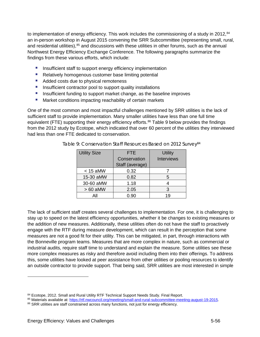to implementation of energy efficiency. This work includes the commissioning of a study in 2012, $84$ an in-person workshop in August 2015 convening the SRR Subcommittee (representing small, rural, and residential utilities),<sup>[85](#page-59-3)</sup> and discussions with these utilities in other forums, such as the annual Northwest Energy Efficiency Exchange Conference. The following paragraphs summarize the findings from these various efforts, which include:

- **Insufficient staff to support energy efficiency implementation**
- Relatively homogenous customer base limiting potential
- Added costs due to physical remoteness
- **Insufficient contractor pool to support quality installations**
- **Insufficient funding to support market change, as the baseline improves**
- **Market conditions impacting reachability of certain markets**

<span id="page-59-0"></span>One of the most common and most impactful challenges mentioned by SRR utilities is the lack of sufficient staff to provide implementation. Many smaller utilities have less than one full time equivalent (FTE) supporting their energy efficiency efforts.<sup>[86](#page-59-4)</sup> [Table 9](#page-59-0) below provides the findings from the 2012 study by Ecotope, which indicated that over 60 percent of the utilities they interviewed had less than one FTE dedicated to conservation.

<span id="page-59-1"></span>

| <b>Utility Size</b> | <b>FTE</b>      | <b>Utility</b>    |
|---------------------|-----------------|-------------------|
|                     | Conservation    | <b>Interviews</b> |
|                     | Staff (average) |                   |
| $<$ 15 aMW          | 0.32            |                   |
| 15-30 aMW           | 0.82            | 5                 |
| 30-60 aMW           | 1.18            |                   |
| $>60$ aMW           | 2.05            | 3                 |
| All                 | 0.90            | 1 Q               |

Table 9: Conservation Staff Resources Based on 2012 Survey<sup>84</sup>

The lack of sufficient staff creates several challenges to implementation. For one, it is challenging to stay up to speed on the latest efficiency opportunities, whether it be changes to existing measures or the addition of new measures. Additionally, these utilities often do not have the staff to proactively engage with the RTF during measure development, which can result in the perception that some measures are not a good fit for their utility. This can be mitigated, in part, through interactions with the Bonneville program teams. Measures that are more complex in nature, such as commercial or industrial audits, require staff time to understand and explain the measure. Some utilities see these more complex measures as risky and therefore avoid including them into their offerings. To address this, some utilities have looked at peer assistance from other utilities or pooling resources to identify an outside contractor to provide support. That being said, SRR utilities are most interested in simple

<span id="page-59-2"></span><sup>84</sup> Ecotope, 2012. Small and Rural Utility RTF Technical Support Needs Study. Final Report.

<span id="page-59-3"></span><sup>&</sup>lt;sup>85</sup> Materials available at: <u>https://rtf.nwcouncil.org/meeting/small-and-rural-subcommittee-meeting-august-19-2015</u><br><sup>86</sup> SRR utilities are staff constrained across many functions, not just for energy efficiency.

<span id="page-59-4"></span>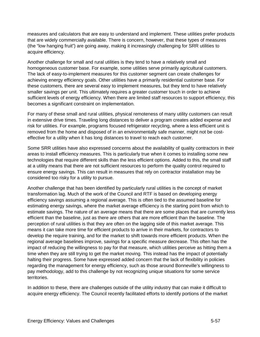measures and calculators that are easy to understand and implement. These utilities prefer products that are widely commercially available. There is concern, however, that these types of measures (the "low hanging fruit") are going away, making it increasingly challenging for SRR utilities to acquire efficiency.

Another challenge for small and rural utilities is they tend to have a relatively small and homogeneous customer base. For example, some utilities serve primarily agricultural customers. The lack of easy-to-implement measures for this customer segment can create challenges for achieving energy efficiency goals. Other utilities have a primarily residential customer base. For these customers, there are several easy to implement measures, but they tend to have relatively smaller savings per unit. This ultimately requires a greater customer touch in order to achieve sufficient levels of energy efficiency. When there are limited staff resources to support efficiency, this becomes a significant constraint on implementation.

For many of these small and rural utilities, physical remoteness of many utility customers can result in extensive drive times. Traveling long distances to deliver a program creates added expense and risk for utilities. For example, programs focused refrigerator recycling, where a less efficient unit is removed from the home and disposed of in an environmentally safe manner, might not be costeffective for a utility when it has long distances to travel to reach each customer.

Some SRR utilities have also expressed concerns about the availability of quality contractors in their areas to install efficiency measures. This is particularly true when it comes to installing some new technologies that require different skills than the less efficient options. Added to this, the small staff at a utility means that there are not sufficient resources to perform the quality control required to ensure energy savings. This can result in measures that rely on contractor installation may be considered too risky for a utility to pursue.

Another challenge that has been identified by particularly rural utilities is the concept of market transformation lag. Much of the work of the Council and RTF is based on developing energy efficiency savings assuming a regional average. This is often tied to the assumed baseline for estimating energy savings, where the market average efficiency is the starting point from which to estimate savings. The nature of an average means that there are some places that are currently less efficient than the baseline, just as there are others that are more efficient than the baseline. The perception of rural utilities is that they are often on the lagging side of this market average. This means it can take more time for efficient products to arrive in their markets, for contractors to develop the require training, and for the market to shift towards more efficient products. When the regional average baselines improve, savings for a specific measure decrease. This often has the impact of reducing the willingness to pay for that measure, which utilities perceive as hitting them a time when they are still trying to get the market moving. This instead has the impact of potentially halting their progress. Some have expressed added concern that the lack of flexibility in policies regarding the management for energy efficiency, such as those around Bonneville's willingness to pay methodology, add to this challenge by not recognizing unique situations for some service territories.

In addition to these, there are challenges outside of the utility industry that can make it difficult to acquire energy efficiency. The Council recently facilitated efforts to identify portions of the market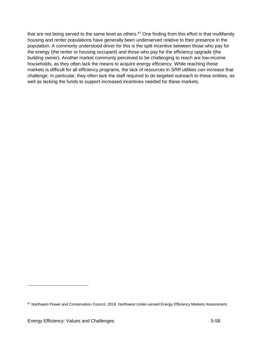that are not being served to the same level as others.<sup>[87](#page-61-0)</sup> One finding from this effort is that multifamily housing and renter populations have generally been underserved relative to their presence in the population. A commonly understood driver for this is the split incentive between those who pay for the energy (the renter or housing occupant) and those who pay for the efficiency upgrade (the building owner). Another market commonly perceived to be challenging to reach are low-income households, as they often lack the means to acquire energy efficiency. While reaching these markets is difficult for all efficiency programs, the lack of resources in SRR utilities can increase that challenge. In particular, they often lack the staff required to do targeted outreach to these entities, as well as lacking the funds to support increased incentives needed for these markets.

<span id="page-61-0"></span><sup>87</sup> Northwest Power and Conservation Council, 2018. Northwest Under-served Energy Efficiency Markets Assessment.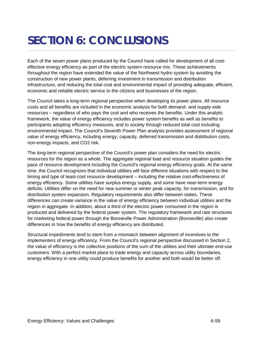## **SECTION 6: CONCLUSIONS**

Each of the seven power plans produced by the Council have called for development of all costeffective energy efficiency as part of the electric system resource mix. These achievements throughout the region have extended the value of the Northwest hydro system by avoiding the construction of new power plants, deferring investment in transmission and distribution infrastructure, and reducing the total cost and environmental impact of providing adequate, efficient, economic and reliable electric service to the citizens and businesses of the region.

The Council takes a long-term regional perspective when developing its power plans. All resource costs and all benefits are included in the economic analysis for both demand- and supply-side resources – regardless of who pays the cost and who receives the benefits. Under this analytic framework, the value of energy efficiency includes power system benefits as well as benefits to participants adopting efficiency measures, and to society through reduced total cost including environmental impact. The Council's Seventh Power Plan analysis provides assessment of regional value of energy efficiency, including energy, capacity, deferred transmission and distribution costs, non-energy impacts, and CO2 risk.

The long-term regional perspective of the Council's power plan considers the need for electric resources for the region as a whole. The aggregate regional load and resource situation guides the pace of resource development including the Council's regional energy efficiency goals. At the same time, the Council recognizes that individual utilities will face different situations with respect to the timing and type of least-cost resource development – including the relative cost-effectiveness of energy efficiency. Some utilities have surplus energy supply, and some have near-term energy deficits. Utilities differ on the need for new summer or winter peak capacity, for transmission, and for distribution system expansion. Regulatory requirements also differ between states. These differences can create variance in the value of energy efficiency between individual utilities and the region in aggregate. In addition, about a third of the electric power consumed in the region is produced and delivered by the federal power system. The regulatory framework and rate structures for marketing federal power through the Bonneville Power Administration (Bonneville) also create differences in how the benefits of energy efficiency are distributed.

Structural impediments tend to stem from a mismatch between alignment of incentives to the implementers of energy efficiency. From the Council's regional perspective discussed in Section 2, the value of efficiency is the collective positions of the sum of the utilities and their ultimate end-use customers. With a perfect market place to trade energy and capacity across utility boundaries, energy efficiency in one utility could produce benefits for another and both would be better off.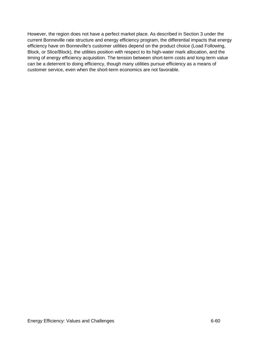However, the region does not have a perfect market place. As described in Section 3 under the current Bonneville rate structure and energy efficiency program, the differential impacts that energy efficiency have on Bonneville's customer utilities depend on the product choice (Load Following, Block, or Slice/Block), the utilities position with respect to its high-water mark allocation, and the timing of energy efficiency acquisition. The tension between short-term costs and long-term value can be a deterrent to doing efficiency, though many utilities pursue efficiency as a means of customer service, even when the short-term economics are not favorable.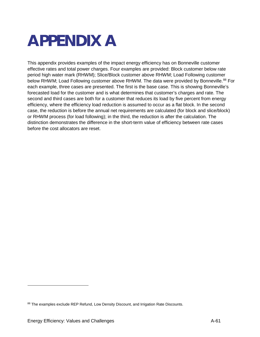# **APPENDIX A**

This appendix provides examples of the impact energy efficiency has on Bonneville customer effective rates and total power charges. Four examples are provided: Block customer below rate period high water mark (RHWM); Slice/Block customer above RHWM; Load Following customer below RHWM; Load Following customer above RHWM. The data were provided by Bonneville.<sup>[88](#page-64-0)</sup> For each example, three cases are presented. The first is the base case. This is showing Bonneville's forecasted load for the customer and is what determines that customer's charges and rate. The second and third cases are both for a customer that reduces its load by five percent from energy efficiency, where the efficiency load reduction is assumed to occur as a flat block. In the second case, the reduction is before the annual net requirements are calculated (for block and slice/block) or RHWM process (for load following); in the third, the reduction is after the calculation. The distinction demonstrates the difference in the short-term value of efficiency between rate cases before the cost allocators are reset.

<span id="page-64-0"></span><sup>88</sup> The examples exclude REP Refund, Low Density Discount, and Irrigation Rate Discounts.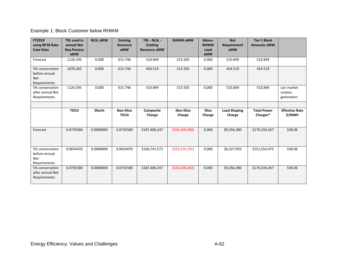#### Example 1: Block Customer below RHWM

| <b>FY2018</b><br>using BP18 Rate                               | <b>TRL</b> used in<br>annual Net | <b>NLSL aMW</b> | <b>Existing</b><br><b>Resource</b> | TRL - NLSL -<br><b>Existing</b> | <b>RHWM aMW</b>            | Above-<br><b>RHWM</b>  | <b>Net</b><br>Requirement     | <b>Tier 1 Block</b><br><b>Amounts aMW</b> |                                     |
|----------------------------------------------------------------|----------------------------------|-----------------|------------------------------------|---------------------------------|----------------------------|------------------------|-------------------------------|-------------------------------------------|-------------------------------------|
| <b>Case Data</b>                                               | <b>Reg Process</b><br>aMW        |                 | aMW                                | <b>Resource aMW</b>             |                            | Load<br>aMW            | aMW                           |                                           |                                     |
| Forecast                                                       | 1126.595                         | 0.000           | 615.746                            | 510.849                         | 515.503                    | 0.000                  | 510.849                       | 510.849                                   |                                     |
| 5% conservation<br>before annual<br><b>Net</b><br>Requirements | 1070.265                         | 0.000           | 615.746                            | 454.519                         | 515.503                    | 0.000                  | 454.519                       | 454.519                                   |                                     |
| 5% conservation<br>after annual Net<br>Requirements            | 1126.595                         | 0.000           | 615.746                            | 510.849                         | 515.503                    | 0.000                  | 510.849                       | 510.849                                   | can market<br>surplus<br>generation |
|                                                                |                                  |                 |                                    |                                 |                            |                        |                               |                                           |                                     |
|                                                                | <b>TOCA</b>                      | Slice%          | <b>Non-Slice</b><br><b>TOCA</b>    | <b>Composite</b><br>Charge      | <b>Non-Slice</b><br>Charge | <b>Slice</b><br>Charge | <b>Load Shaping</b><br>Charge | <b>Total Power</b><br>Charges*            | <b>Effective Rate</b><br>\$/MWh     |
| Forecast                                                       | 0.0735580                        | 0.0000000       | 0.0735580                          | \$187,406,247                   | ( \$26,428,360)            | 0.000                  | \$9,356,380                   | \$170,334,267                             | \$38.06                             |
| 5% conservation<br>before annual<br><b>Net</b><br>Requirements | 0.0654470                        | 0.0000000       | 0.0654470                          | \$166,741,573                   | ( \$23,514,191)            | 0.000                  | \$8,327,093                   | \$151,554,475                             | \$38.06                             |
| 5% conservation<br>after annual Net<br>Requirements            | 0.0735580                        | 0.0000000       | 0.0735580                          | \$187,406,247                   | ( \$26,428,360)            | 0.000                  | \$9,356,380                   | \$170,334,267                             | \$38.06                             |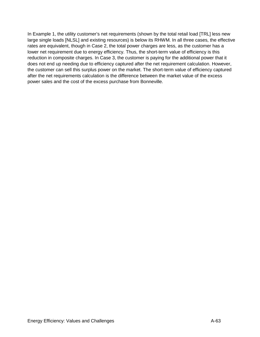In Example 1, the utility customer's net requirements (shown by the total retail load [TRL] less new large single loads [NLSL] and existing resources) is below its RHWM. In all three cases, the effective rates are equivalent, though in Case 2, the total power charges are less, as the customer has a lower net requirement due to energy efficiency. Thus, the short-term value of efficiency is this reduction in composite charges. In Case 3, the customer is paying for the additional power that it does not end up needing due to efficiency captured after the net requirement calculation. However, the customer can sell this surplus power on the market. The short-term value of efficiency captured after the net requirements calculation is the difference between the market value of the excess power sales and the cost of the excess purchase from Bonneville.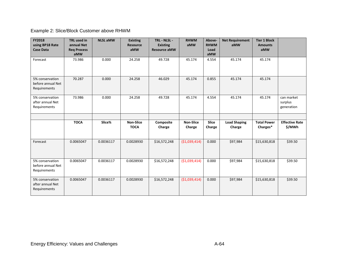#### Example 2: Slice/Block Customer above RHWM

| <b>FY2018</b><br>using BP18 Rate<br><b>Case Data</b> | <b>TRL</b> used in<br>annual Net<br><b>Reg Process</b><br>aMW | <b>NLSL aMW</b> | <b>Existing</b><br><b>Resource</b><br>aMW | TRL - NLSL -<br><b>Existing</b><br><b>Resource aMW</b> | <b>RHWM</b><br>aMW         | Above-<br><b>RHWM</b><br>Load<br>aMW | <b>Net Requirement</b><br>aMW | <b>Tier 1 Block</b><br><b>Amounts</b><br>aMW |                                     |
|------------------------------------------------------|---------------------------------------------------------------|-----------------|-------------------------------------------|--------------------------------------------------------|----------------------------|--------------------------------------|-------------------------------|----------------------------------------------|-------------------------------------|
| Forecast                                             | 73.986                                                        | 0.000           | 24.258                                    | 49.728                                                 | 45.174                     | 4.554                                | 45.174                        | 45.174                                       |                                     |
| 5% conservation<br>before annual Net<br>Requirements | 70.287                                                        | 0.000           | 24.258                                    | 46.029                                                 | 45.174                     | 0.855                                | 45.174                        | 45.174                                       |                                     |
| 5% conservation<br>after annual Net<br>Requirements  | 73.986                                                        | 0.000           | 24.258                                    | 49.728                                                 | 45.174                     | 4.554                                | 45.174                        | 45.174                                       | can market<br>surplus<br>generation |
|                                                      |                                                               |                 |                                           |                                                        |                            |                                      |                               |                                              |                                     |
|                                                      | <b>TOCA</b>                                                   | Slice%          | <b>Non-Slice</b><br><b>TOCA</b>           | Composite<br>Charge                                    | <b>Non-Slice</b><br>Charge | <b>Slice</b><br>Charge               | <b>Load Shaping</b><br>Charge | <b>Total Power</b><br>Charges*               | <b>Effective Rate</b><br>\$/MWh     |
| Forecast                                             | 0.0065047                                                     | 0.0036117       | 0.0028930                                 | \$16,572,248                                           | ( \$1,039,414)             | 0.000                                | \$97,984                      | \$15,630,818                                 | \$39.50                             |
| 5% conservation<br>before annual Net<br>Requirements | 0.0065047                                                     | 0.0036117       | 0.0028930                                 | \$16,572,248                                           | ( \$1,039,414)             | 0.000                                | \$97,984                      | \$15,630,818                                 | \$39.50                             |
| 5% conservation<br>after annual Net<br>Requirements  | 0.0065047                                                     | 0.0036117       | 0.0028930                                 | \$16,572,248                                           | (51,039,414)               | 0.000                                | \$97,984                      | \$15,630,818                                 | \$39.50                             |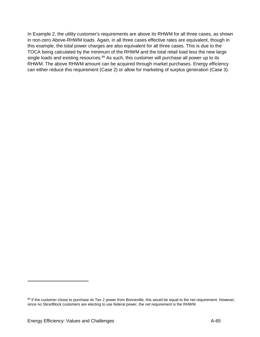In Example 2, the utility customer's requirements are above its RHWM for all three cases, as shown in non-zero Above-RHWM loads. Again, in all three cases effective rates are equivalent, though in this example, the total power charges are also equivalent for all three cases. This is due to the TOCA being calculated by the minimum of the RHWM and the total retail load less the new large single loads and existing resources.<sup>[89](#page-68-0)</sup> As such, this customer will purchase all power up to its RHWM. The above RHWM amount can be acquired through market purchases. Energy efficiency can either reduce this requirement (Case 2) or allow for marketing of surplus generation (Case 3).

-

<span id="page-68-0"></span><sup>89</sup> If the customer chose to purchase its Tier 2 power from Bonneville, this would be equal to the net requirement. However, since no Slice/Block customers are electing to use federal power, the net requirement is the RHWM.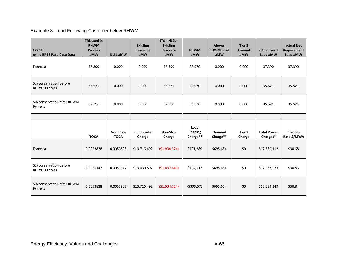Example 3: Load Following Customer below RHWM

| <b>FY2018</b><br>using BP18 Rate Case Data    | <b>TRL</b> used in<br><b>RHWM</b><br><b>Process</b><br>aMW | <b>NLSL aMW</b>                 | <b>Existing</b><br><b>Resource</b><br>aMW | TRL - NLSL -<br><b>Existing</b><br><b>Resource</b><br>aMW | <b>RHWM</b><br>aMW                 | Above-<br><b>RHWM Load</b><br>aMW | Tier 2<br><b>Amount</b><br>aMW | actual Tier 1<br>Load aMW      | actual Net<br>Requirement<br>Load aMW |
|-----------------------------------------------|------------------------------------------------------------|---------------------------------|-------------------------------------------|-----------------------------------------------------------|------------------------------------|-----------------------------------|--------------------------------|--------------------------------|---------------------------------------|
| Forecast                                      | 37.390                                                     | 0.000                           | 0.000                                     | 37.390                                                    | 38.070                             | 0.000                             | 0.000                          | 37.390                         | 37.390                                |
| 5% conservation before<br><b>RHWM Process</b> | 35.521                                                     | 0.000                           | 0.000                                     | 35.521                                                    | 38.070                             | 0.000                             | 0.000                          | 35.521                         | 35.521                                |
| 5% conservation after RHWM<br>Process         | 37.390                                                     | 0.000                           | 0.000                                     | 37.390                                                    | 38.070                             | 0.000                             | 0.000                          | 35.521                         | 35.521                                |
|                                               |                                                            |                                 |                                           |                                                           |                                    |                                   |                                |                                |                                       |
|                                               | <b>TOCA</b>                                                | <b>Non-Slice</b><br><b>TOCA</b> | Composite<br>Charge                       | <b>Non-Slice</b><br>Charge                                | Load<br><b>Shaping</b><br>Charge** | Demand<br>Charge**                | Tier 2<br>Charge               | <b>Total Power</b><br>Charges* | <b>Effective</b><br>Rate \$/MWh       |
| Forecast                                      | 0.0053838                                                  | 0.0053838                       | \$13,716,492                              | (51, 934, 324)                                            | \$191,289                          | \$695,654                         | \$0                            | \$12,669,112                   | \$38.68                               |
| 5% conservation before<br><b>RHWM Process</b> | 0.0051147                                                  | 0.0051147                       | \$13,030,897                              | (\$1,837,640)                                             | \$194,112                          | \$695,654                         | \$0                            | \$12,083,023                   | \$38.83                               |
| 5% conservation after RHWM<br>Process         | 0.0053838                                                  | 0.0053838                       | \$13,716,492                              | ( \$1,934,324)                                            | $-5393,673$                        | \$695,654                         | \$0                            | \$12,084,149                   | \$38.84                               |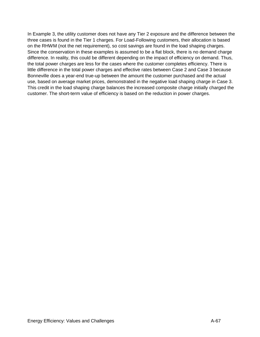In Example 3, the utility customer does not have any Tier 2 exposure and the difference between the three cases is found in the Tier 1 charges. For Load-Following customers, their allocation is based on the RHWM (not the net requirement), so cost savings are found in the load shaping charges. Since the conservation in these examples is assumed to be a flat block, there is no demand charge difference. In reality, this could be different depending on the impact of efficiency on demand. Thus, the total power charges are less for the cases where the customer completes efficiency. There is little difference in the total power charges and effective rates between Case 2 and Case 3 because Bonneville does a year-end true-up between the amount the customer purchased and the actual use, based on average market prices, demonstrated in the negative load shaping charge in Case 3. This credit in the load shaping charge balances the increased composite charge initially charged the customer. The short-term value of efficiency is based on the reduction in power charges.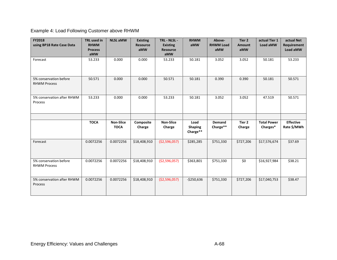Example 4: Load Following Customer above RHWM

| <b>FY2018</b><br>using BP18 Rate Case Data    | <b>TRL</b> used in<br><b>RHWM</b><br><b>Process</b><br>aMW | <b>NLSL aMW</b>                 | <b>Existing</b><br><b>Resource</b><br>aMW | TRL - NLSL -<br><b>Existing</b><br><b>Resource</b><br>aMW | <b>RHWM</b><br>aMW                 | Above-<br><b>RHWM Load</b><br>aMW | Tier 2<br><b>Amount</b><br>aMW | actual Tier 1<br>Load aMW      | actual Net<br>Requirement<br>Load aMW |
|-----------------------------------------------|------------------------------------------------------------|---------------------------------|-------------------------------------------|-----------------------------------------------------------|------------------------------------|-----------------------------------|--------------------------------|--------------------------------|---------------------------------------|
| Forecast                                      | 53.233                                                     | 0.000                           | 0.000                                     | 53.233                                                    | 50.181                             | 3.052                             | 3.052                          | 50.181                         | 53.233                                |
| 5% conservation before<br><b>RHWM Process</b> | 50.571                                                     | 0.000                           | 0.000                                     | 50.571                                                    | 50.181                             | 0.390                             | 0.390                          | 50.181                         | 50.571                                |
| 5% conservation after RHWM<br>Process         | 53.233                                                     | 0.000                           | 0.000                                     | 53.233                                                    | 50.181                             | 3.052                             | 3.052                          | 47.519                         | 50.571                                |
|                                               |                                                            |                                 |                                           |                                                           |                                    |                                   |                                |                                |                                       |
|                                               | <b>TOCA</b>                                                | <b>Non-Slice</b><br><b>TOCA</b> | Composite<br>Charge                       | <b>Non-Slice</b><br>Charge                                | Load<br><b>Shaping</b><br>Charge** | Demand<br>Charge**                | Tier 2<br>Charge               | <b>Total Power</b><br>Charges* | <b>Effective</b><br>Rate \$/MWh       |
| Forecast                                      | 0.0072256                                                  | 0.0072256                       | \$18,408,910                              | ( \$2,596,057)                                            | \$285,285                          | \$751,330                         | \$727,206                      | \$17,576,674                   | \$37.69                               |
| 5% conservation before<br><b>RHWM Process</b> | 0.0072256                                                  | 0.0072256                       | \$18,408,910                              | ( \$2,596,057)                                            | \$363,801                          | \$751,330                         | \$0                            | \$16,927,984                   | \$38.21                               |
| 5% conservation after RHWM<br>Process         | 0.0072256                                                  | 0.0072256                       | \$18,408,910                              | ( \$2,596,057)                                            | $-$ \$250,636                      | \$751,330                         | \$727,206                      | \$17,040,753                   | \$38.47                               |